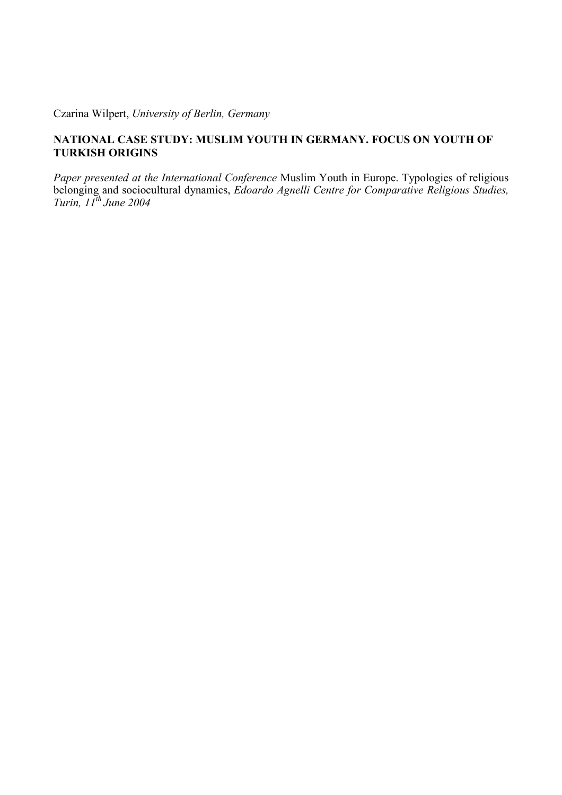Czarina Wilpert, *University of Berlin, Germany*

# **NATIONAL CASE STUDY: MUSLIM YOUTH IN GERMANY. FOCUS ON YOUTH OF TURKISH ORIGINS**

*Paper presented at the International Conference* Muslim Youth in Europe. Typologies of religious belonging and sociocultural dynamics, *Edoardo Agnelli Centre for Comparative Religious Studies, Turin, 11th June 2004*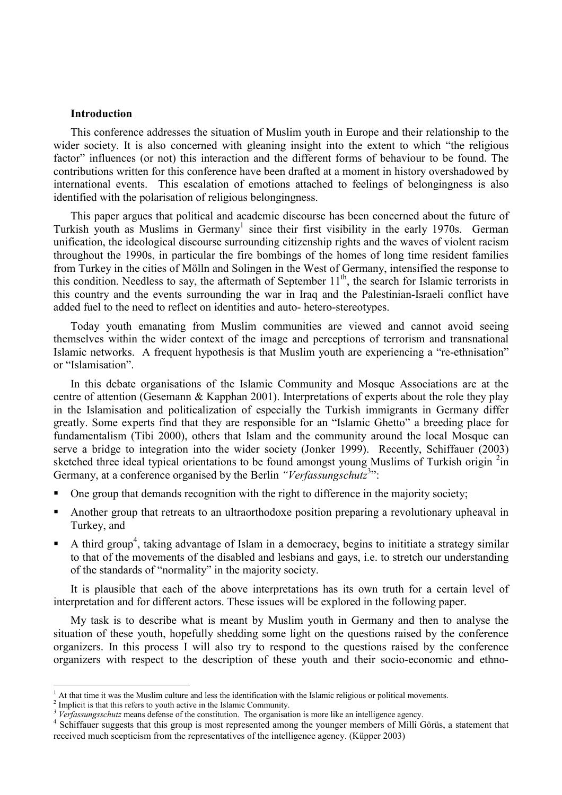## **Introduction**

This conference addresses the situation of Muslim youth in Europe and their relationship to the wider society. It is also concerned with gleaning insight into the extent to which "the religious" factor" influences (or not) this interaction and the different forms of behaviour to be found. The contributions written for this conference have been drafted at a moment in history overshadowed by international events. This escalation of emotions attached to feelings of belongingness is also identified with the polarisation of religious belongingness.

This paper argues that political and academic discourse has been concerned about the future of Turkish youth as Muslims in Germany<sup>1</sup> since their first visibility in the early 1970s. German unification, the ideological discourse surrounding citizenship rights and the waves of violent racism throughout the 1990s, in particular the fire bombings of the homes of long time resident families from Turkey in the cities of Mölln and Solingen in the West of Germany, intensified the response to this condition. Needless to say, the aftermath of September  $11<sup>th</sup>$ , the search for Islamic terrorists in this country and the events surrounding the war in Iraq and the Palestinian-Israeli conflict have added fuel to the need to reflect on identities and auto- hetero-stereotypes.

Today youth emanating from Muslim communities are viewed and cannot avoid seeing themselves within the wider context of the image and perceptions of terrorism and transnational Islamic networks. A frequent hypothesis is that Muslim youth are experiencing a "re-ethnisation" or "Islamisation".

In this debate organisations of the Islamic Community and Mosque Associations are at the centre of attention (Gesemann & Kapphan 2001). Interpretations of experts about the role they play in the Islamisation and politicalization of especially the Turkish immigrants in Germany differ greatly. Some experts find that they are responsible for an "Islamic Ghetto" a breeding place for fundamentalism (Tibi 2000), others that Islam and the community around the local Mosque can serve a bridge to integration into the wider society (Jonker 1999). Recently, Schiffauer (2003) sketched three ideal typical orientations to be found amongst young Muslims of Turkish origin <sup>2</sup>in Germany, at a conference organised by the Berlin *"Verfassungschutz*<sup>3</sup>":

- One group that demands recognition with the right to difference in the majority society;
- Another group that retreats to an ultraorthodoxe position preparing a revolutionary upheaval in Turkey, and
- A third group<sup>4</sup>, taking advantage of Islam in a democracy, begins to inititiate a strategy similar to that of the movements of the disabled and lesbians and gays, i.e. to stretch our understanding of the standards of "normality" in the majority society.

It is plausible that each of the above interpretations has its own truth for a certain level of interpretation and for different actors. These issues will be explored in the following paper.

My task is to describe what is meant by Muslim youth in Germany and then to analyse the situation of these youth, hopefully shedding some light on the questions raised by the conference organizers. In this process I will also try to respond to the questions raised by the conference organizers with respect to the description of these youth and their socio-economic and ethno-

<sup>1</sup> At that time it was the Muslim culture and less the identification with the Islamic religious or political movements.

<sup>2</sup> Implicit is that this refers to youth active in the Islamic Community.

*<sup>3</sup> Verfassungsschutz* means defense of the constitution. The organisation is more like an intelligence agency.

Schiffauer suggests that this group is most represented among the younger members of Milli Görüs, a statement that received much scepticism from the representatives of the intelligence agency. (Küpper 2003)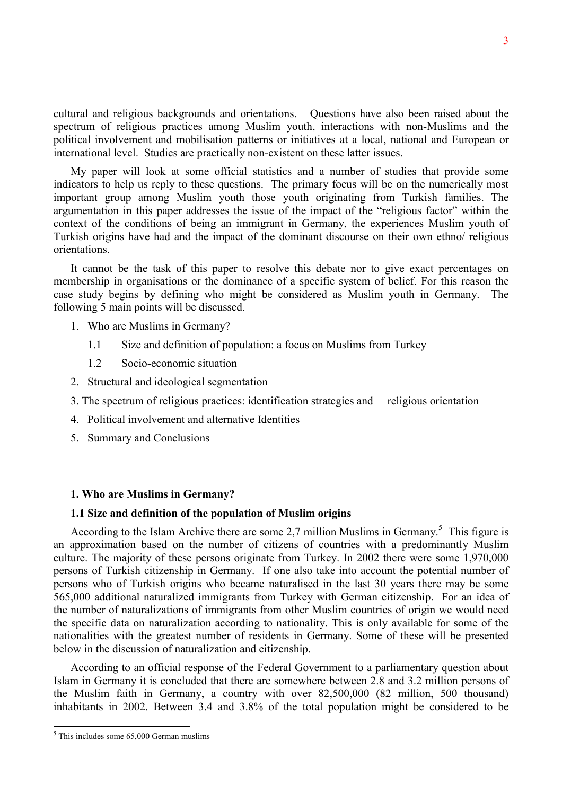cultural and religious backgrounds and orientations. Questions have also been raised about the spectrum of religious practices among Muslim youth, interactions with non-Muslims and the political involvement and mobilisation patterns or initiatives at a local, national and European or international level. Studies are practically non-existent on these latter issues.

My paper will look at some official statistics and a number of studies that provide some indicators to help us reply to these questions. The primary focus will be on the numerically most important group among Muslim youth those youth originating from Turkish families. The argumentation in this paper addresses the issue of the impact of the "religious factor" within the context of the conditions of being an immigrant in Germany, the experiences Muslim youth of Turkish origins have had and the impact of the dominant discourse on their own ethno/ religious orientations.

It cannot be the task of this paper to resolve this debate nor to give exact percentages on membership in organisations or the dominance of a specific system of belief. For this reason the case study begins by defining who might be considered as Muslim youth in Germany. The following 5 main points will be discussed.

- 1. Who are Muslims in Germany?
	- 1.1 Size and definition of population: a focus on Muslims from Turkey
	- 1.2 Socio-economic situation
- 2. Structural and ideological segmentation
- 3. The spectrum of religious practices: identification strategies and religious orientation
- 4. Political involvement and alternative Identities
- 5. Summary and Conclusions

## **1. Who are Muslims in Germany?**

## **1.1 Size and definition of the population of Muslim origins**

According to the Islam Archive there are some  $2,7$  million Muslims in Germany.<sup>5</sup> This figure is an approximation based on the number of citizens of countries with a predominantly Muslim culture. The majority of these persons originate from Turkey. In 2002 there were some 1,970,000 persons of Turkish citizenship in Germany. If one also take into account the potential number of persons who of Turkish origins who became naturalised in the last 30 years there may be some 565,000 additional naturalized immigrants from Turkey with German citizenship. For an idea of the number of naturalizations of immigrants from other Muslim countries of origin we would need the specific data on naturalization according to nationality. This is only available for some of the nationalities with the greatest number of residents in Germany. Some of these will be presented below in the discussion of naturalization and citizenship.

According to an official response of the Federal Government to a parliamentary question about Islam in Germany it is concluded that there are somewhere between 2.8 and 3.2 million persons of the Muslim faith in Germany, a country with over 82,500,000 (82 million, 500 thousand) inhabitants in 2002. Between 3.4 and 3.8% of the total population might be considered to be

 $<sup>5</sup>$  This includes some 65,000 German muslims</sup>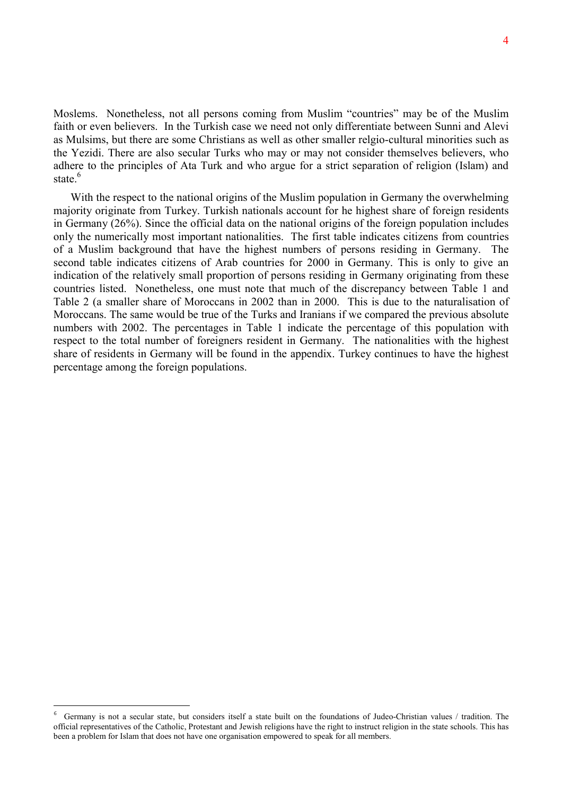Moslems. Nonetheless, not all persons coming from Muslim "countries" may be of the Muslim faith or even believers. In the Turkish case we need not only differentiate between Sunni and Alevi as Mulsims, but there are some Christians as well as other smaller relgio-cultural minorities such as the Yezidi. There are also secular Turks who may or may not consider themselves believers, who adhere to the principles of Ata Turk and who argue for a strict separation of religion (Islam) and state.<sup>6</sup>

With the respect to the national origins of the Muslim population in Germany the overwhelming majority originate from Turkey. Turkish nationals account for he highest share of foreign residents in Germany (26%). Since the official data on the national origins of the foreign population includes only the numerically most important nationalities. The first table indicates citizens from countries of a Muslim background that have the highest numbers of persons residing in Germany. The second table indicates citizens of Arab countries for 2000 in Germany. This is only to give an indication of the relatively small proportion of persons residing in Germany originating from these countries listed. Nonetheless, one must note that much of the discrepancy between Table 1 and Table 2 (a smaller share of Moroccans in 2002 than in 2000. This is due to the naturalisation of Moroccans. The same would be true of the Turks and Iranians if we compared the previous absolute numbers with 2002. The percentages in Table 1 indicate the percentage of this population with respect to the total number of foreigners resident in Germany. The nationalities with the highest share of residents in Germany will be found in the appendix. Turkey continues to have the highest percentage among the foreign populations.

<sup>6</sup> Germany is not a secular state, but considers itself a state built on the foundations of Judeo-Christian values / tradition. The official representatives of the Catholic, Protestant and Jewish religions have the right to instruct religion in the state schools. This has been a problem for Islam that does not have one organisation empowered to speak for all members.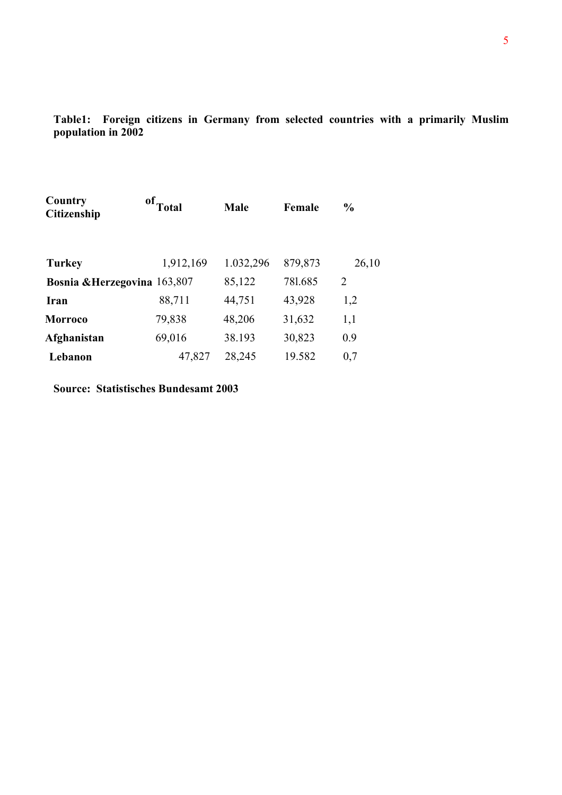**Table1: Foreign citizens in Germany from selected countries with a primarily Muslim population in 2002** 

| Country<br><b>Citizenship</b> | $^{\circ f}$ Total | <b>Male</b> | Female  | $\frac{6}{9}$  |
|-------------------------------|--------------------|-------------|---------|----------------|
| <b>Turkey</b>                 | 1,912,169          | 1.032,296   | 879,873 | 26,10          |
| Bosnia & Herzegovina 163,807  |                    | 85,122      | 781.685 | $\overline{2}$ |
| Iran                          | 88,711             | 44,751      | 43,928  | 1,2            |
| <b>Morroco</b>                | 79,838             | 48,206      | 31,632  | 1,1            |
| Afghanistan                   | 69,016             | 38.193      | 30,823  | 0.9            |
| Lebanon                       | 47,827             | 28,245      | 19.582  | 0,7            |

**Source: Statistisches Bundesamt 2003**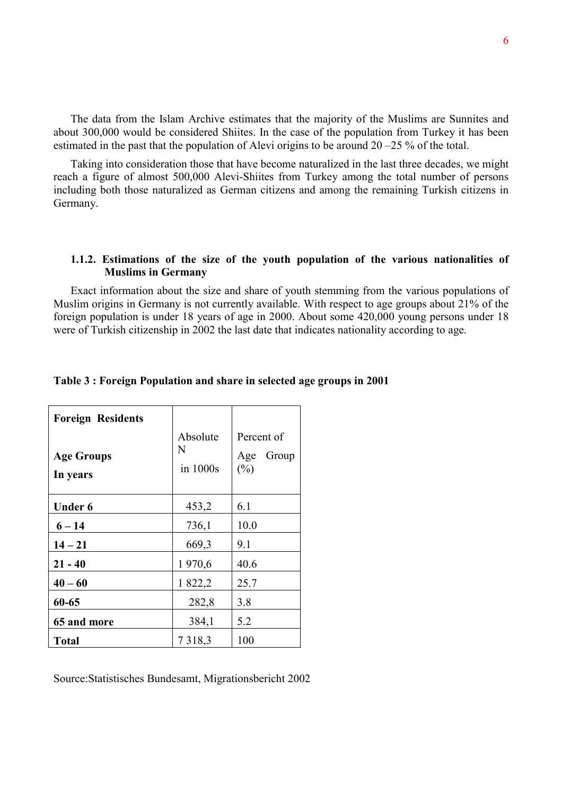The data from the Islam Archive estimates that the majority of the Muslims are Sunnites and about 300,000 would be considered Shiites. In the case of the population from Turkey it has been estimated in the past that the population of Alevi origins to be around 20 –25 % of the total.

Taking into consideration those that have become naturalized in the last three decades, we might reach a figure of almost 500,000 Alevi-Shiites from Turkey among the total number of persons including both those naturalized as German citizens and among the remaining Turkish citizens in Germany.

## **1.1.2. Estimations of the size of the youth population of the various nationalities of Muslims in Germany**

Exact information about the size and share of youth stemming from the various populations of Muslim origins in Germany is not currently available. With respect to age groups about 21% of the foreign population is under 18 years of age in 2000. About some 420,000 young persons under 18 were of Turkish citizenship in 2002 the last date that indicates nationality according to age.

| <b>Foreign Residents</b><br><b>Age Groups</b><br>In years | Absolute<br>N<br>in 1000s | Percent of<br>Age<br>Group<br>$(\%)$ |
|-----------------------------------------------------------|---------------------------|--------------------------------------|
| <b>Under 6</b>                                            | 453,2                     | 6.1                                  |
| $6 - 14$                                                  | 736,1                     | 10.0                                 |
| $14 - 21$                                                 | 669,3                     | 9.1                                  |
| $21 - 40$                                                 | 1970,6                    | 40.6                                 |
| $40 - 60$                                                 | 1 822,2                   | 25.7                                 |
| 60-65                                                     | 282,8                     | 3.8                                  |
| 65 and more                                               | 384,1                     | 5.2                                  |
| <b>Total</b>                                              | 7318,3                    | 100                                  |

## **Table 3 : Foreign Population and share in selected age groups in 2001**

Source:Statistisches Bundesamt, Migrationsbericht 2002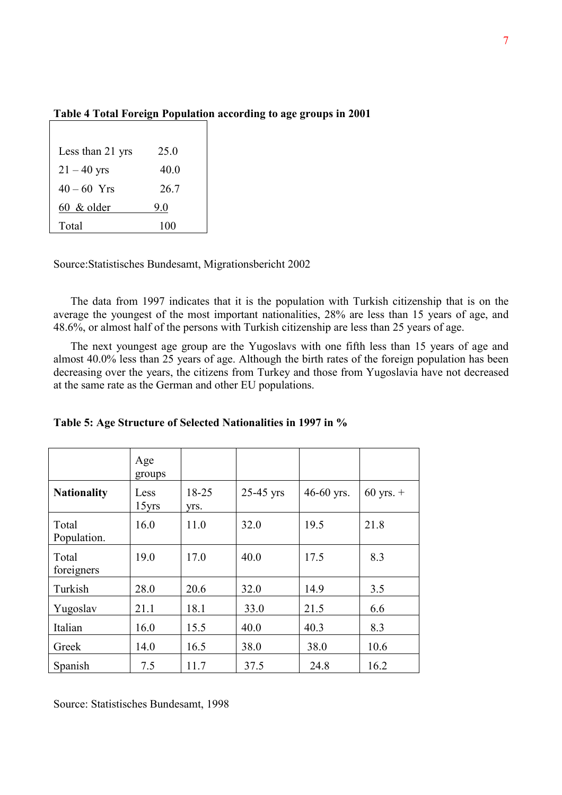| 25.0 |
|------|
| 40.0 |
| 26.7 |
| 9.0  |
| 100  |
|      |

# **Table 4 Total Foreign Population according to age groups in 2001**

Source:Statistisches Bundesamt, Migrationsbericht 2002

The data from 1997 indicates that it is the population with Turkish citizenship that is on the average the youngest of the most important nationalities, 28% are less than 15 years of age, and 48.6%, or almost half of the persons with Turkish citizenship are less than 25 years of age.

The next youngest age group are the Yugoslavs with one fifth less than 15 years of age and almost 40.0% less than 25 years of age. Although the birth rates of the foreign population has been decreasing over the years, the citizens from Turkey and those from Yugoslavia have not decreased at the same rate as the German and other EU populations.

|                      | Age<br>groups |               |             |            |               |
|----------------------|---------------|---------------|-------------|------------|---------------|
| <b>Nationality</b>   | Less<br>15yrs | 18-25<br>Vrs. | $25-45$ yrs | 46-60 yrs. | $60$ yrs. $+$ |
| Total<br>Population. | 16.0          | 11.0          | 32.0        | 19.5       | 21.8          |
| Total<br>foreigners  | 19.0          | 17.0          | 40.0        | 17.5       | 8.3           |
| Turkish              | 28.0          | 20.6          | 32.0        | 14.9       | 3.5           |
| Yugoslav             | 21.1          | 18.1          | 33.0        | 21.5       | 6.6           |
| Italian              | 16.0          | 15.5          | 40.0        | 40.3       | 8.3           |
| Greek                | 14.0          | 16.5          | 38.0        | 38.0       | 10.6          |
| Spanish              | 7.5           | 11.7          | 37.5        | 24.8       | 16.2          |

|  |  |  |  | Table 5: Age Structure of Selected Nationalities in 1997 in % |
|--|--|--|--|---------------------------------------------------------------|
|--|--|--|--|---------------------------------------------------------------|

Source: Statistisches Bundesamt, 1998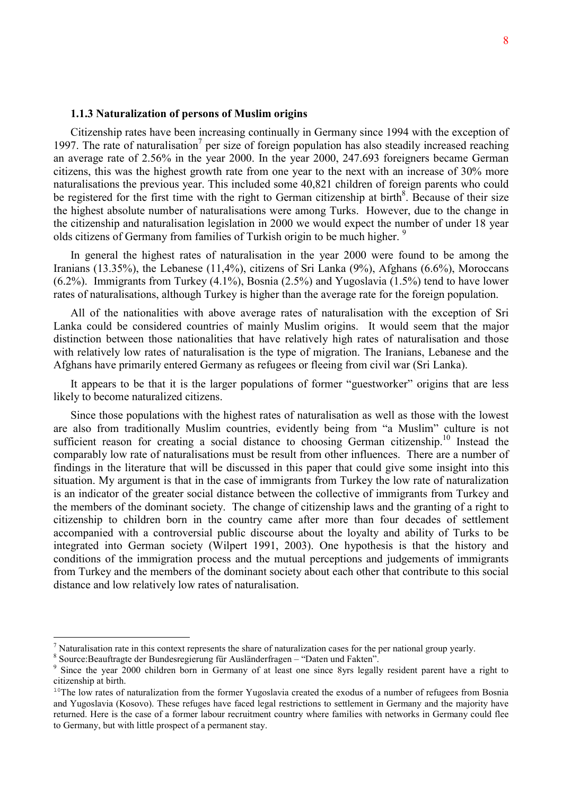## **1.1.3 Naturalization of persons of Muslim origins**

Citizenship rates have been increasing continually in Germany since 1994 with the exception of 1997. The rate of naturalisation<sup>7</sup> per size of foreign population has also steadily increased reaching an average rate of 2.56% in the year 2000. In the year 2000, 247.693 foreigners became German citizens, this was the highest growth rate from one year to the next with an increase of 30% more naturalisations the previous year. This included some 40,821 children of foreign parents who could be registered for the first time with the right to German citizenship at birth<sup>8</sup>. Because of their size the highest absolute number of naturalisations were among Turks. However, due to the change in the citizenship and naturalisation legislation in 2000 we would expect the number of under 18 year olds citizens of Germany from families of Turkish origin to be much higher.<sup>9</sup>

In general the highest rates of naturalisation in the year 2000 were found to be among the Iranians (13.35%), the Lebanese (11,4%), citizens of Sri Lanka (9%), Afghans (6.6%), Moroccans (6.2%). Immigrants from Turkey (4.1%), Bosnia (2.5%) and Yugoslavia (1.5%) tend to have lower rates of naturalisations, although Turkey is higher than the average rate for the foreign population.

All of the nationalities with above average rates of naturalisation with the exception of Sri Lanka could be considered countries of mainly Muslim origins. It would seem that the major distinction between those nationalities that have relatively high rates of naturalisation and those with relatively low rates of naturalisation is the type of migration. The Iranians, Lebanese and the Afghans have primarily entered Germany as refugees or fleeing from civil war (Sri Lanka).

It appears to be that it is the larger populations of former "guestworker" origins that are less likely to become naturalized citizens.

Since those populations with the highest rates of naturalisation as well as those with the lowest are also from traditionally Muslim countries, evidently being from "a Muslim" culture is not sufficient reason for creating a social distance to choosing German citizenship.<sup>10</sup> Instead the comparably low rate of naturalisations must be result from other influences. There are a number of findings in the literature that will be discussed in this paper that could give some insight into this situation. My argument is that in the case of immigrants from Turkey the low rate of naturalization is an indicator of the greater social distance between the collective of immigrants from Turkey and the members of the dominant society. The change of citizenship laws and the granting of a right to citizenship to children born in the country came after more than four decades of settlement accompanied with a controversial public discourse about the loyalty and ability of Turks to be integrated into German society (Wilpert 1991, 2003). One hypothesis is that the history and conditions of the immigration process and the mutual perceptions and judgements of immigrants from Turkey and the members of the dominant society about each other that contribute to this social distance and low relatively low rates of naturalisation.

<sup>&</sup>lt;sup>7</sup> Naturalisation rate in this context represents the share of naturalization cases for the per national group yearly.

<sup>&</sup>lt;sup>8</sup> Source: Beauftragte der Bundesregierung für Ausländerfragen – "Daten und Fakten".

<sup>9</sup> Since the year 2000 children born in Germany of at least one since 8yrs legally resident parent have a right to citizenship at birth.

<sup>&</sup>lt;sup>10</sup>The low rates of naturalization from the former Yugoslavia created the exodus of a number of refugees from Bosnia and Yugoslavia (Kosovo). These refuges have faced legal restrictions to settlement in Germany and the majority have returned. Here is the case of a former labour recruitment country where families with networks in Germany could flee to Germany, but with little prospect of a permanent stay.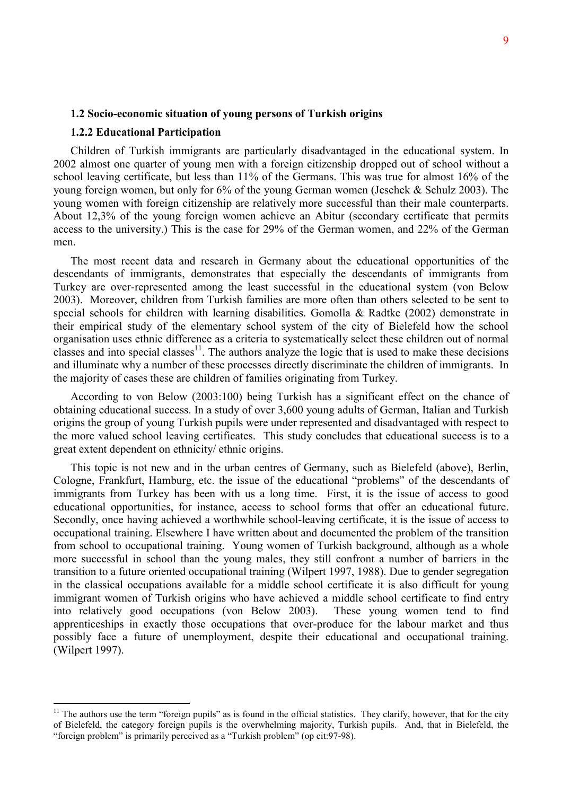## **1.2 Socio-economic situation of young persons of Turkish origins**

## **1.2.2 Educational Participation**

 $\overline{a}$ 

Children of Turkish immigrants are particularly disadvantaged in the educational system. In 2002 almost one quarter of young men with a foreign citizenship dropped out of school without a school leaving certificate, but less than 11% of the Germans. This was true for almost 16% of the young foreign women, but only for 6% of the young German women (Jeschek & Schulz 2003). The young women with foreign citizenship are relatively more successful than their male counterparts. About 12,3% of the young foreign women achieve an Abitur (secondary certificate that permits access to the university.) This is the case for 29% of the German women, and 22% of the German men.

The most recent data and research in Germany about the educational opportunities of the descendants of immigrants, demonstrates that especially the descendants of immigrants from Turkey are over-represented among the least successful in the educational system (von Below 2003). Moreover, children from Turkish families are more often than others selected to be sent to special schools for children with learning disabilities. Gomolla & Radtke (2002) demonstrate in their empirical study of the elementary school system of the city of Bielefeld how the school organisation uses ethnic difference as a criteria to systematically select these children out of normal classes and into special classes<sup>11</sup>. The authors analyze the logic that is used to make these decisions and illuminate why a number of these processes directly discriminate the children of immigrants. In the majority of cases these are children of families originating from Turkey.

According to von Below (2003:100) being Turkish has a significant effect on the chance of obtaining educational success. In a study of over 3,600 young adults of German, Italian and Turkish origins the group of young Turkish pupils were under represented and disadvantaged with respect to the more valued school leaving certificates. This study concludes that educational success is to a great extent dependent on ethnicity/ ethnic origins.

This topic is not new and in the urban centres of Germany, such as Bielefeld (above), Berlin, Cologne, Frankfurt, Hamburg, etc. the issue of the educational "problems" of the descendants of immigrants from Turkey has been with us a long time. First, it is the issue of access to good educational opportunities, for instance, access to school forms that offer an educational future. Secondly, once having achieved a worthwhile school-leaving certificate, it is the issue of access to occupational training. Elsewhere I have written about and documented the problem of the transition from school to occupational training. Young women of Turkish background, although as a whole more successful in school than the young males, they still confront a number of barriers in the transition to a future oriented occupational training (Wilpert 1997, 1988). Due to gender segregation in the classical occupations available for a middle school certificate it is also difficult for young immigrant women of Turkish origins who have achieved a middle school certificate to find entry into relatively good occupations (von Below 2003). These young women tend to find apprenticeships in exactly those occupations that over-produce for the labour market and thus possibly face a future of unemployment, despite their educational and occupational training. (Wilpert 1997).

 $11$  The authors use the term "foreign pupils" as is found in the official statistics. They clarify, however, that for the city of Bielefeld, the category foreign pupils is the overwhelming majority, Turkish pupils. And, that in Bielefeld, the "foreign problem" is primarily perceived as a "Turkish problem" (op cit:97-98).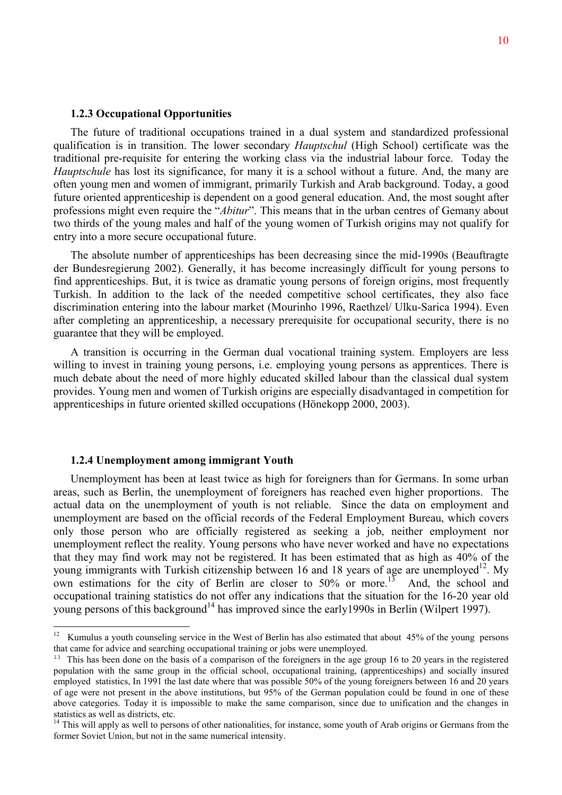## **1.2.3 Occupational Opportunities**

The future of traditional occupations trained in a dual system and standardized professional qualification is in transition. The lower secondary *Hauptschul* (High School) certificate was the traditional pre-requisite for entering the working class via the industrial labour force. Today the *Hauptschule* has lost its significance, for many it is a school without a future. And, the many are often young men and women of immigrant, primarily Turkish and Arab background. Today, a good future oriented apprenticeship is dependent on a good general education. And, the most sought after professions might even require the "*Abitur*". This means that in the urban centres of Gemany about two thirds of the young males and half of the young women of Turkish origins may not qualify for entry into a more secure occupational future.

The absolute number of apprenticeships has been decreasing since the mid-1990s (Beauftragte der Bundesregierung 2002). Generally, it has become increasingly difficult for young persons to find apprenticeships. But, it is twice as dramatic young persons of foreign origins, most frequently Turkish. In addition to the lack of the needed competitive school certificates, they also face discrimination entering into the labour market (Mourinho 1996, Raethzel/ Ulku-Sarica 1994). Even after completing an apprenticeship, a necessary prerequisite for occupational security, there is no guarantee that they will be employed.

A transition is occurring in the German dual vocational training system. Employers are less willing to invest in training young persons, i.e. employing young persons as apprentices. There is much debate about the need of more highly educated skilled labour than the classical dual system provides. Young men and women of Turkish origins are especially disadvantaged in competition for apprenticeships in future oriented skilled occupations (Hönekopp 2000, 2003).

## **1.2.4 Unemployment among immigrant Youth**

Unemployment has been at least twice as high for foreigners than for Germans. In some urban areas, such as Berlin, the unemployment of foreigners has reached even higher proportions. The actual data on the unemployment of youth is not reliable. Since the data on employment and unemployment are based on the official records of the Federal Employment Bureau, which covers only those person who are officially registered as seeking a job, neither employment nor unemployment reflect the reality. Young persons who have never worked and have no expectations that they may find work may not be registered. It has been estimated that as high as 40% of the young immigrants with Turkish citizenship between 16 and 18 years of age are unemployed<sup>12</sup>. My own estimations for the city of Berlin are closer to 50% or more.<sup>13</sup> And, the school and occupational training statistics do not offer any indications that the situation for the 16-20 year old young persons of this background<sup>14</sup> has improved since the early1990s in Berlin (Wilpert 1997).

 $12\,$ 12 Kumulus a youth counseling service in the West of Berlin has also estimated that about 45% of the young persons that came for advice and searching occupational training or jobs were unemployed.

<sup>&</sup>lt;sup>13</sup> This has been done on the basis of a comparison of the foreigners in the age group 16 to 20 years in the registered population with the same group in the official school, occupational training, (apprenticeships) and socially insured employed statistics, In 1991 the last date where that was possible 50% of the young foreigners between 16 and 20 years of age were not present in the above institutions, but 95% of the German population could be found in one of these above categories. Today it is impossible to make the same comparison, since due to unification and the changes in statistics as well as districts, etc.

<sup>&</sup>lt;sup>14</sup> This will apply as well to persons of other nationalities, for instance, some youth of Arab origins or Germans from the former Soviet Union, but not in the same numerical intensity.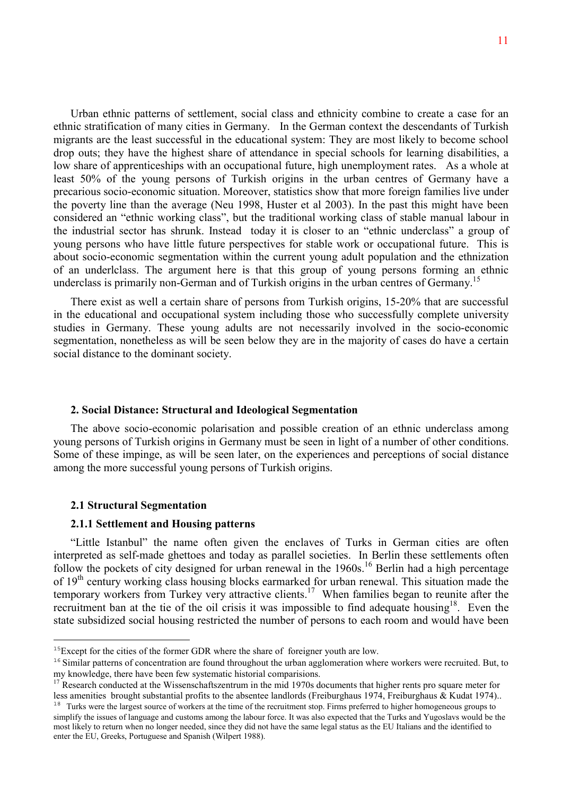Urban ethnic patterns of settlement, social class and ethnicity combine to create a case for an ethnic stratification of many cities in Germany. In the German context the descendants of Turkish migrants are the least successful in the educational system: They are most likely to become school drop outs; they have the highest share of attendance in special schools for learning disabilities, a low share of apprenticeships with an occupational future, high unemployment rates. As a whole at least 50% of the young persons of Turkish origins in the urban centres of Germany have a precarious socio-economic situation. Moreover, statistics show that more foreign families live under the poverty line than the average (Neu 1998, Huster et al 2003). In the past this might have been considered an "ethnic working class", but the traditional working class of stable manual labour in the industrial sector has shrunk. Instead today it is closer to an "ethnic underclass" a group of young persons who have little future perspectives for stable work or occupational future. This is about socio-economic segmentation within the current young adult population and the ethnization of an underlclass. The argument here is that this group of young persons forming an ethnic underclass is primarily non-German and of Turkish origins in the urban centres of Germany.<sup>15</sup>

There exist as well a certain share of persons from Turkish origins, 15-20% that are successful in the educational and occupational system including those who successfully complete university studies in Germany. These young adults are not necessarily involved in the socio-economic segmentation, nonetheless as will be seen below they are in the majority of cases do have a certain social distance to the dominant society.

## **2. Social Distance: Structural and Ideological Segmentation**

The above socio-economic polarisation and possible creation of an ethnic underclass among young persons of Turkish origins in Germany must be seen in light of a number of other conditions. Some of these impinge, as will be seen later, on the experiences and perceptions of social distance among the more successful young persons of Turkish origins.

#### **2.1 Structural Segmentation**

 $\overline{a}$ 

## **2.1.1 Settlement and Housing patterns**

"Little Istanbul" the name often given the enclaves of Turks in German cities are often interpreted as self-made ghettoes and today as parallel societies. In Berlin these settlements often follow the pockets of city designed for urban renewal in the 1960s.<sup>16</sup> Berlin had a high percentage of 19<sup>th</sup> century working class housing blocks earmarked for urban renewal. This situation made the temporary workers from Turkey very attractive clients.<sup>17</sup> When families began to reunite after the recruitment ban at the tie of the oil crisis it was impossible to find adequate housing<sup>18</sup>. Even the state subsidized social housing restricted the number of persons to each room and would have been

<sup>&</sup>lt;sup>15</sup>Except for the cities of the former GDR where the share of foreigner youth are low.

 $16$  Similar patterns of concentration are found throughout the urban agglomeration where workers were recruited. But, to my knowledge, there have been few systematic historial comparisions.

<sup>&</sup>lt;sup>17</sup> Research conducted at the Wissenschaftszentrum in the mid 1970s documents that higher rents pro square meter for less amenities brought substantial profits to the absentee landlords (Freiburghaus 1974, Freiburghaus & Kudat 1974).. <sup>18</sup> Turks were the largest source of workers at the time of the recruitment stop. Firms preferred to higher homogeneous groups to simplify the issues of language and customs among the labour force. It was also expected that the Turks and Yugoslavs would be the

most likely to return when no longer needed, since they did not have the same legal status as the EU Italians and the identified to enter the EU, Greeks, Portuguese and Spanish (Wilpert 1988).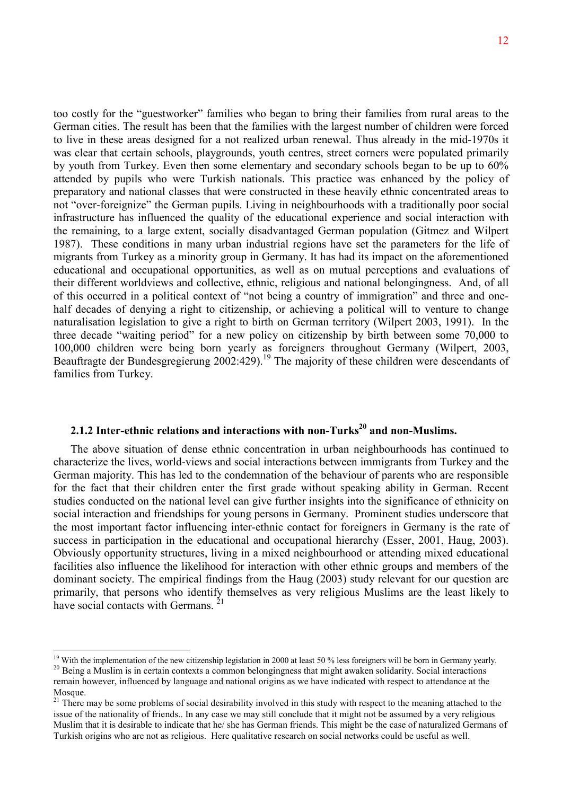too costly for the "guestworker" families who began to bring their families from rural areas to the German cities. The result has been that the families with the largest number of children were forced to live in these areas designed for a not realized urban renewal. Thus already in the mid-1970s it was clear that certain schools, playgrounds, youth centres, street corners were populated primarily by youth from Turkey. Even then some elementary and secondary schools began to be up to 60% attended by pupils who were Turkish nationals. This practice was enhanced by the policy of preparatory and national classes that were constructed in these heavily ethnic concentrated areas to not "over-foreignize" the German pupils. Living in neighbourhoods with a traditionally poor social infrastructure has influenced the quality of the educational experience and social interaction with the remaining, to a large extent, socially disadvantaged German population (Gitmez and Wilpert 1987). These conditions in many urban industrial regions have set the parameters for the life of migrants from Turkey as a minority group in Germany. It has had its impact on the aforementioned educational and occupational opportunities, as well as on mutual perceptions and evaluations of their different worldviews and collective, ethnic, religious and national belongingness. And, of all of this occurred in a political context of "not being a country of immigration" and three and onehalf decades of denying a right to citizenship, or achieving a political will to venture to change naturalisation legislation to give a right to birth on German territory (Wilpert 2003, 1991). In the three decade "waiting period" for a new policy on citizenship by birth between some 70,000 to 100,000 children were being born yearly as foreigners throughout Germany (Wilpert, 2003, Beauftragte der Bundesgregierung 2002:429).19 The majority of these children were descendants of families from Turkey.

# **2.1.2 Inter-ethnic relations and interactions with non-Turks<sup>20</sup> and non-Muslims.**

The above situation of dense ethnic concentration in urban neighbourhoods has continued to characterize the lives, world-views and social interactions between immigrants from Turkey and the German majority. This has led to the condemnation of the behaviour of parents who are responsible for the fact that their children enter the first grade without speaking ability in German. Recent studies conducted on the national level can give further insights into the significance of ethnicity on social interaction and friendships for young persons in Germany. Prominent studies underscore that the most important factor influencing inter-ethnic contact for foreigners in Germany is the rate of success in participation in the educational and occupational hierarchy (Esser, 2001, Haug, 2003). Obviously opportunity structures, living in a mixed neighbourhood or attending mixed educational facilities also influence the likelihood for interaction with other ethnic groups and members of the dominant society. The empirical findings from the Haug (2003) study relevant for our question are primarily, that persons who identify themselves as very religious Muslims are the least likely to have social contacts with Germans.  $21$ 

<sup>&</sup>lt;sup>19</sup> With the implementation of the new citizenship legislation in 2000 at least 50 % less foreigners will be born in Germany yearly.<br><sup>20</sup> Being a Muslim is in certain contexts a common belongingness that might awaken sol remain however, influenced by language and national origins as we have indicated with respect to attendance at the Mosque.

<sup>&</sup>lt;sup>21</sup> There may be some problems of social desirability involved in this study with respect to the meaning attached to the issue of the nationality of friends.. In any case we may still conclude that it might not be assumed by a very religious Muslim that it is desirable to indicate that he/ she has German friends. This might be the case of naturalized Germans of Turkish origins who are not as religious. Here qualitative research on social networks could be useful as well.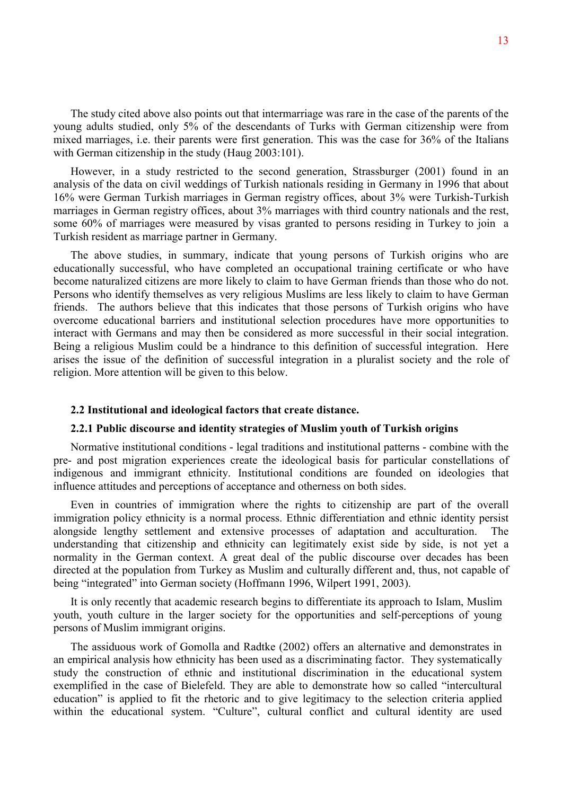The study cited above also points out that intermarriage was rare in the case of the parents of the young adults studied, only 5% of the descendants of Turks with German citizenship were from mixed marriages, i.e. their parents were first generation. This was the case for 36% of the Italians with German citizenship in the study (Haug 2003:101).

However, in a study restricted to the second generation, Strassburger (2001) found in an analysis of the data on civil weddings of Turkish nationals residing in Germany in 1996 that about 16% were German Turkish marriages in German registry offices, about 3% were Turkish-Turkish marriages in German registry offices, about 3% marriages with third country nationals and the rest, some 60% of marriages were measured by visas granted to persons residing in Turkey to join a Turkish resident as marriage partner in Germany.

The above studies, in summary, indicate that young persons of Turkish origins who are educationally successful, who have completed an occupational training certificate or who have become naturalized citizens are more likely to claim to have German friends than those who do not. Persons who identify themselves as very religious Muslims are less likely to claim to have German friends. The authors believe that this indicates that those persons of Turkish origins who have overcome educational barriers and institutional selection procedures have more opportunities to interact with Germans and may then be considered as more successful in their social integration. Being a religious Muslim could be a hindrance to this definition of successful integration. Here arises the issue of the definition of successful integration in a pluralist society and the role of religion. More attention will be given to this below.

#### **2.2 Institutional and ideological factors that create distance.**

## **2.2.1 Public discourse and identity strategies of Muslim youth of Turkish origins**

Normative institutional conditions - legal traditions and institutional patterns - combine with the pre- and post migration experiences create the ideological basis for particular constellations of indigenous and immigrant ethnicity. Institutional conditions are founded on ideologies that influence attitudes and perceptions of acceptance and otherness on both sides.

Even in countries of immigration where the rights to citizenship are part of the overall immigration policy ethnicity is a normal process. Ethnic differentiation and ethnic identity persist alongside lengthy settlement and extensive processes of adaptation and acculturation. The understanding that citizenship and ethnicity can legitimately exist side by side, is not yet a normality in the German context. A great deal of the public discourse over decades has been directed at the population from Turkey as Muslim and culturally different and, thus, not capable of being "integrated" into German society (Hoffmann 1996, Wilpert 1991, 2003).

It is only recently that academic research begins to differentiate its approach to Islam, Muslim youth, youth culture in the larger society for the opportunities and self-perceptions of young persons of Muslim immigrant origins.

The assiduous work of Gomolla and Radtke (2002) offers an alternative and demonstrates in an empirical analysis how ethnicity has been used as a discriminating factor. They systematically study the construction of ethnic and institutional discrimination in the educational system exemplified in the case of Bielefeld. They are able to demonstrate how so called "intercultural education" is applied to fit the rhetoric and to give legitimacy to the selection criteria applied within the educational system. "Culture", cultural conflict and cultural identity are used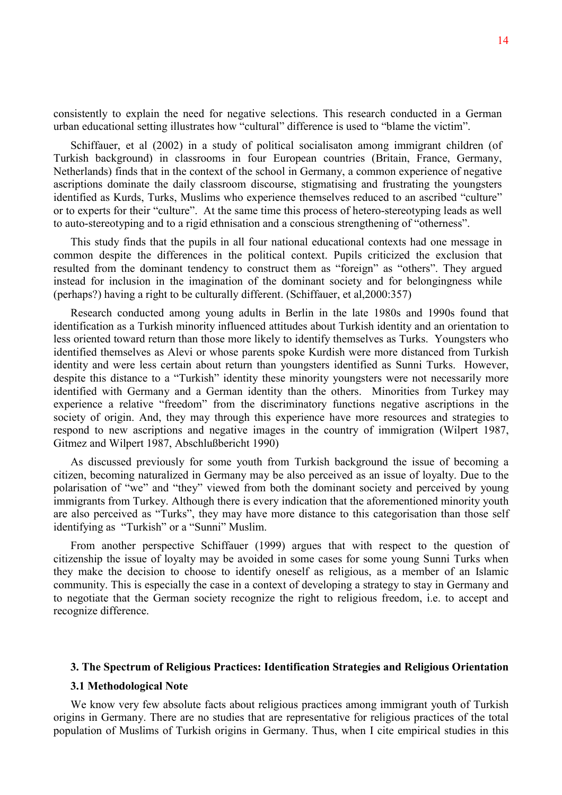consistently to explain the need for negative selections. This research conducted in a German urban educational setting illustrates how "cultural" difference is used to "blame the victim".

Schiffauer, et al (2002) in a study of political socialisaton among immigrant children (of Turkish background) in classrooms in four European countries (Britain, France, Germany, Netherlands) finds that in the context of the school in Germany, a common experience of negative ascriptions dominate the daily classroom discourse, stigmatising and frustrating the youngsters identified as Kurds, Turks, Muslims who experience themselves reduced to an ascribed "culture" or to experts for their "culture". At the same time this process of hetero-stereotyping leads as well to auto-stereotyping and to a rigid ethnisation and a conscious strengthening of "otherness".

This study finds that the pupils in all four national educational contexts had one message in common despite the differences in the political context. Pupils criticized the exclusion that resulted from the dominant tendency to construct them as "foreign" as "others". They argued instead for inclusion in the imagination of the dominant society and for belongingness while (perhaps?) having a right to be culturally different. (Schiffauer, et al,2000:357)

Research conducted among young adults in Berlin in the late 1980s and 1990s found that identification as a Turkish minority influenced attitudes about Turkish identity and an orientation to less oriented toward return than those more likely to identify themselves as Turks. Youngsters who identified themselves as Alevi or whose parents spoke Kurdish were more distanced from Turkish identity and were less certain about return than youngsters identified as Sunni Turks. However, despite this distance to a "Turkish" identity these minority youngsters were not necessarily more identified with Germany and a German identity than the others. Minorities from Turkey may experience a relative "freedom" from the discriminatory functions negative ascriptions in the society of origin. And, they may through this experience have more resources and strategies to respond to new ascriptions and negative images in the country of immigration (Wilpert 1987, Gitmez and Wilpert 1987, Abschlußbericht 1990)

As discussed previously for some youth from Turkish background the issue of becoming a citizen, becoming naturalized in Germany may be also perceived as an issue of loyalty. Due to the polarisation of "we" and "they" viewed from both the dominant society and perceived by young immigrants from Turkey. Although there is every indication that the aforementioned minority youth are also perceived as "Turks", they may have more distance to this categorisation than those self identifying as "Turkish" or a "Sunni" Muslim.

From another perspective Schiffauer (1999) argues that with respect to the question of citizenship the issue of loyalty may be avoided in some cases for some young Sunni Turks when they make the decision to choose to identify oneself as religious, as a member of an Islamic community. This is especially the case in a context of developing a strategy to stay in Germany and to negotiate that the German society recognize the right to religious freedom, i.e. to accept and recognize difference.

## **3. The Spectrum of Religious Practices: Identification Strategies and Religious Orientation**

#### **3.1 Methodological Note**

We know very few absolute facts about religious practices among immigrant youth of Turkish origins in Germany. There are no studies that are representative for religious practices of the total population of Muslims of Turkish origins in Germany. Thus, when I cite empirical studies in this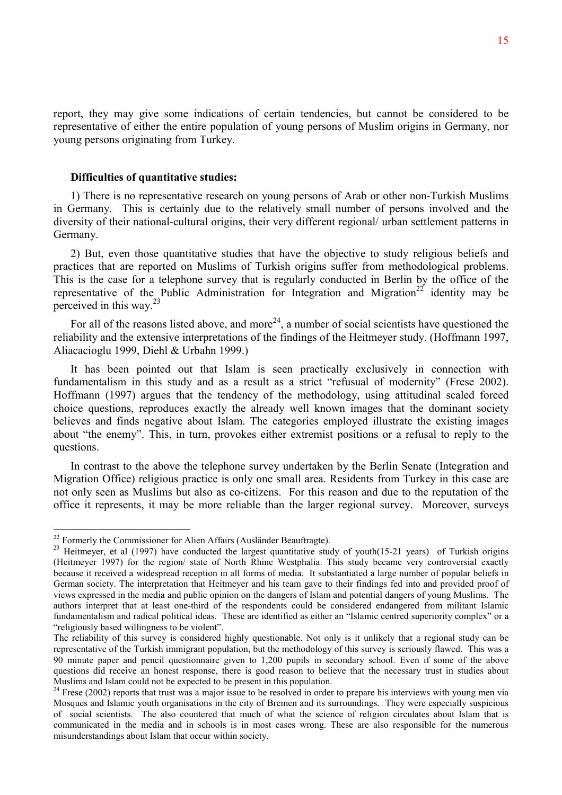report, they may give some indications of certain tendencies, but cannot be considered to be representative of either the entire population of young persons of Muslim origins in Germany, nor young persons originating from Turkey.

#### **Difficulties of quantitative studies:**

1) There is no representative research on young persons of Arab or other non-Turkish Muslims in Germany. This is certainly due to the relatively small number of persons involved and the diversity of their national-cultural origins, their very different regional/ urban settlement patterns in Germany.

2) But, even those quantitative studies that have the objective to study religious beliefs and practices that are reported on Muslims of Turkish origins suffer from methodological problems. This is the case for a telephone survey that is regularly conducted in Berlin by the office of the representative of the Public Administration for Integration and Migration<sup>22</sup> identity may be perceived in this way. $^{23}$ 

For all of the reasons listed above, and more<sup>24</sup>, a number of social scientists have questioned the reliability and the extensive interpretations of the findings of the Heitmeyer study. (Hoffmann 1997, Aliacacioglu 1999, Diehl & Urbahn 1999.)

It has been pointed out that Islam is seen practically exclusively in connection with fundamentalism in this study and as a result as a strict "refusual of modernity" (Frese 2002). Hoffmann (1997) argues that the tendency of the methodology, using attitudinal scaled forced choice questions, reproduces exactly the already well known images that the dominant society believes and finds negative about Islam. The categories employed illustrate the existing images about "the enemy". This, in turn, provokes either extremist positions or a refusal to reply to the questions.

In contrast to the above the telephone survey undertaken by the Berlin Senate (Integration and Migration Office) religious practice is only one small area. Residents from Turkey in this case are not only seen as Muslims but also as co-citizens. For this reason and due to the reputation of the office it represents, it may be more reliable than the larger regional survey. Moreover, surveys

<sup>&</sup>lt;sup>22</sup> Formerly the Commissioner for Alien Affairs (Ausländer Beauftragte).

<sup>&</sup>lt;sup>23</sup> Heitmeyer, et al (1997) have conducted the largest quantitative study of youth(15-21 years) of Turkish origins (Heitmeyer 1997) for the region/ state of North Rhine Westphalia. This study became very controversial exactly because it received a widespread reception in all forms of media. It substantiated a large number of popular beliefs in German society. The interpretation that Heitmeyer and his team gave to their findings fed into and provided proof of views expressed in the media and public opinion on the dangers of Islam and potential dangers of young Muslims. The authors interpret that at least one-third of the respondents could be considered endangered from militant Islamic fundamentalism and radical political ideas. These are identified as either an "Islamic centred superiority complex" or a "religiously based willingness to be violent".

The reliability of this survey is considered highly questionable. Not only is it unlikely that a regional study can be representative of the Turkish immigrant population, but the methodology of this survey is seriously flawed. This was a 90 minute paper and pencil questionnaire given to 1,200 pupils in secondary school. Even if some of the above questions did receive an honest response, there is good reason to believe that the necessary trust in studies about Muslims and Islam could not be expected to be present in this population.

 $24$  Frese (2002) reports that trust was a major issue to be resolved in order to prepare his interviews with young men via Mosques and Islamic youth organisations in the city of Bremen and its surroundings. They were especially suspicious of social scientists. The also countered that much of what the science of religion circulates about Islam that is communicated in the media and in schools is in most cases wrong. These are also responsible for the numerous misunderstandings about Islam that occur within society.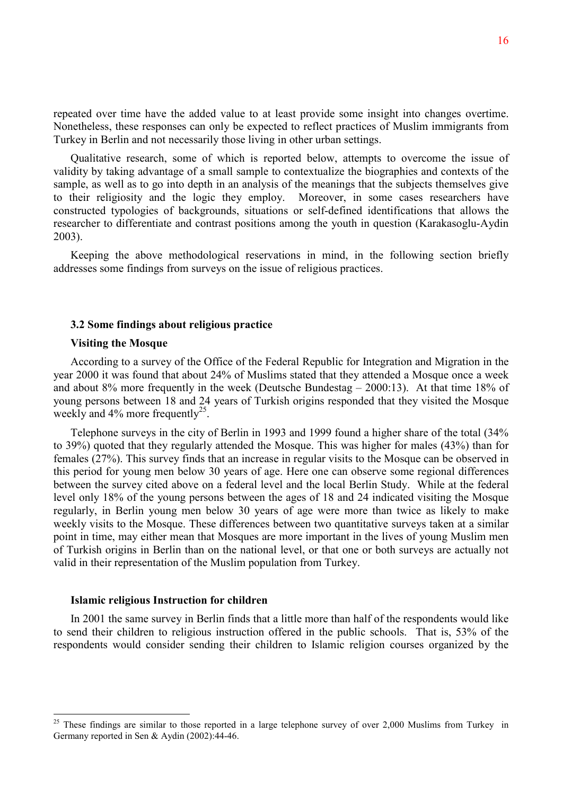repeated over time have the added value to at least provide some insight into changes overtime. Nonetheless, these responses can only be expected to reflect practices of Muslim immigrants from Turkey in Berlin and not necessarily those living in other urban settings.

Qualitative research, some of which is reported below, attempts to overcome the issue of validity by taking advantage of a small sample to contextualize the biographies and contexts of the sample, as well as to go into depth in an analysis of the meanings that the subjects themselves give to their religiosity and the logic they employ. Moreover, in some cases researchers have constructed typologies of backgrounds, situations or self-defined identifications that allows the researcher to differentiate and contrast positions among the youth in question (Karakasoglu-Aydin 2003).

Keeping the above methodological reservations in mind, in the following section briefly addresses some findings from surveys on the issue of religious practices.

## **3.2 Some findings about religious practice**

#### **Visiting the Mosque**

According to a survey of the Office of the Federal Republic for Integration and Migration in the year 2000 it was found that about 24% of Muslims stated that they attended a Mosque once a week and about 8% more frequently in the week (Deutsche Bundestag – 2000:13). At that time 18% of young persons between 18 and 24 years of Turkish origins responded that they visited the Mosque weekly and  $4\%$  more frequently<sup>25</sup>.

Telephone surveys in the city of Berlin in 1993 and 1999 found a higher share of the total (34% to 39%) quoted that they regularly attended the Mosque. This was higher for males (43%) than for females (27%). This survey finds that an increase in regular visits to the Mosque can be observed in this period for young men below 30 years of age. Here one can observe some regional differences between the survey cited above on a federal level and the local Berlin Study. While at the federal level only 18% of the young persons between the ages of 18 and 24 indicated visiting the Mosque regularly, in Berlin young men below 30 years of age were more than twice as likely to make weekly visits to the Mosque. These differences between two quantitative surveys taken at a similar point in time, may either mean that Mosques are more important in the lives of young Muslim men of Turkish origins in Berlin than on the national level, or that one or both surveys are actually not valid in their representation of the Muslim population from Turkey.

#### **Islamic religious Instruction for children**

 $\overline{a}$ 

In 2001 the same survey in Berlin finds that a little more than half of the respondents would like to send their children to religious instruction offered in the public schools. That is, 53% of the respondents would consider sending their children to Islamic religion courses organized by the

<sup>&</sup>lt;sup>25</sup> These findings are similar to those reported in a large telephone survey of over 2,000 Muslims from Turkey in Germany reported in Sen & Aydin (2002):44-46.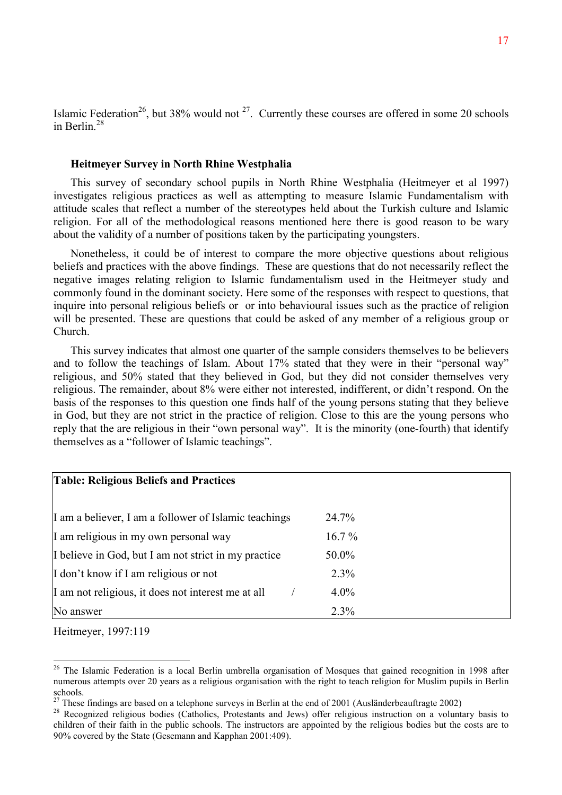Islamic Federation<sup>26</sup>, but 38% would not  $27$ . Currently these courses are offered in some 20 schools in Berlin $^{28}$ 

## **Heitmeyer Survey in North Rhine Westphalia**

This survey of secondary school pupils in North Rhine Westphalia (Heitmeyer et al 1997) investigates religious practices as well as attempting to measure Islamic Fundamentalism with attitude scales that reflect a number of the stereotypes held about the Turkish culture and Islamic religion. For all of the methodological reasons mentioned here there is good reason to be wary about the validity of a number of positions taken by the participating youngsters.

Nonetheless, it could be of interest to compare the more objective questions about religious beliefs and practices with the above findings. These are questions that do not necessarily reflect the negative images relating religion to Islamic fundamentalism used in the Heitmeyer study and commonly found in the dominant society. Here some of the responses with respect to questions, that inquire into personal religious beliefs or or into behavioural issues such as the practice of religion will be presented. These are questions that could be asked of any member of a religious group or Church.

This survey indicates that almost one quarter of the sample considers themselves to be believers and to follow the teachings of Islam. About 17% stated that they were in their "personal way" religious, and 50% stated that they believed in God, but they did not consider themselves very religious. The remainder, about 8% were either not interested, indifferent, or didn't respond. On the basis of the responses to this question one finds half of the young persons stating that they believe in God, but they are not strict in the practice of religion. Close to this are the young persons who reply that the are religious in their "own personal way". It is the minority (one-fourth) that identify themselves as a "follower of Islamic teachings".

| <b>Table: Religious Beliefs and Practices</b>         |          |
|-------------------------------------------------------|----------|
| I am a believer, I am a follower of Islamic teachings | 24.7%    |
| I am religious in my own personal way                 | $16.7\%$ |
| I believe in God, but I am not strict in my practice  | 50.0%    |
| I don't know if I am religious or not                 | 2.3%     |
| I am not religious, it does not interest me at all    | $4.0\%$  |
| No answer                                             | 2.3%     |

Heitmeyer, 1997:119

<sup>&</sup>lt;sup>26</sup> The Islamic Federation is a local Berlin umbrella organisation of Mosques that gained recognition in 1998 after numerous attempts over 20 years as a religious organisation with the right to teach religion for Muslim pupils in Berlin schools.

 $27$  These findings are based on a telephone surveys in Berlin at the end of 2001 (Ausländerbeauftragte 2002)

<sup>&</sup>lt;sup>28</sup> Recognized religious bodies (Catholics, Protestants and Jews) offer religious instruction on a voluntary basis to children of their faith in the public schools. The instructors are appointed by the religious bodies but the costs are to 90% covered by the State (Gesemann and Kapphan 2001:409).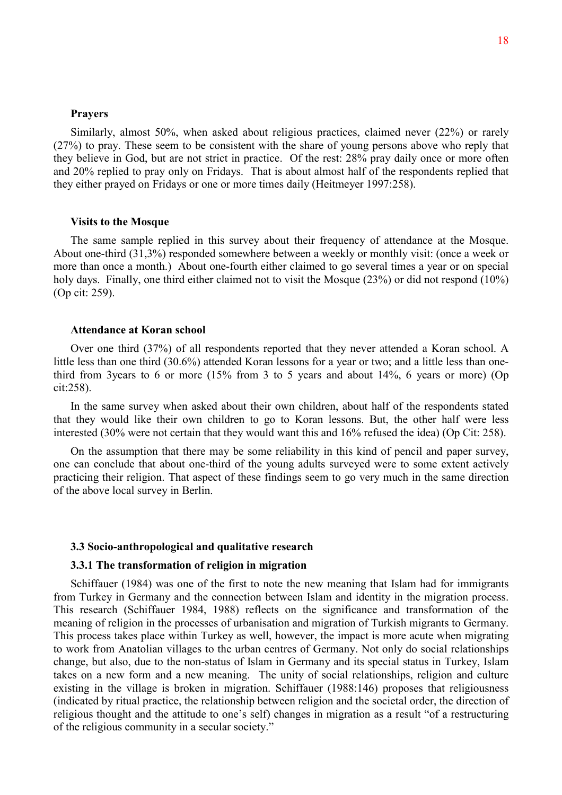#### **Prayers**

Similarly, almost 50%, when asked about religious practices, claimed never (22%) or rarely (27%) to pray. These seem to be consistent with the share of young persons above who reply that they believe in God, but are not strict in practice. Of the rest: 28% pray daily once or more often and 20% replied to pray only on Fridays. That is about almost half of the respondents replied that they either prayed on Fridays or one or more times daily (Heitmeyer 1997:258).

#### **Visits to the Mosque**

The same sample replied in this survey about their frequency of attendance at the Mosque. About one-third (31,3%) responded somewhere between a weekly or monthly visit: (once a week or more than once a month.) About one-fourth either claimed to go several times a year or on special holy days. Finally, one third either claimed not to visit the Mosque (23%) or did not respond (10%) (Op cit: 259).

## **Attendance at Koran school**

Over one third (37%) of all respondents reported that they never attended a Koran school. A little less than one third (30.6%) attended Koran lessons for a year or two; and a little less than onethird from 3years to 6 or more (15% from 3 to 5 years and about 14%, 6 years or more) (Op cit:258).

In the same survey when asked about their own children, about half of the respondents stated that they would like their own children to go to Koran lessons. But, the other half were less interested (30% were not certain that they would want this and 16% refused the idea) (Op Cit: 258).

On the assumption that there may be some reliability in this kind of pencil and paper survey, one can conclude that about one-third of the young adults surveyed were to some extent actively practicing their religion. That aspect of these findings seem to go very much in the same direction of the above local survey in Berlin.

## **3.3 Socio-anthropological and qualitative research**

## **3.3.1 The transformation of religion in migration**

Schiffauer (1984) was one of the first to note the new meaning that Islam had for immigrants from Turkey in Germany and the connection between Islam and identity in the migration process. This research (Schiffauer 1984, 1988) reflects on the significance and transformation of the meaning of religion in the processes of urbanisation and migration of Turkish migrants to Germany. This process takes place within Turkey as well, however, the impact is more acute when migrating to work from Anatolian villages to the urban centres of Germany. Not only do social relationships change, but also, due to the non-status of Islam in Germany and its special status in Turkey, Islam takes on a new form and a new meaning. The unity of social relationships, religion and culture existing in the village is broken in migration. Schiffauer (1988:146) proposes that religiousness (indicated by ritual practice, the relationship between religion and the societal order, the direction of religious thought and the attitude to one's self) changes in migration as a result "of a restructuring of the religious community in a secular society."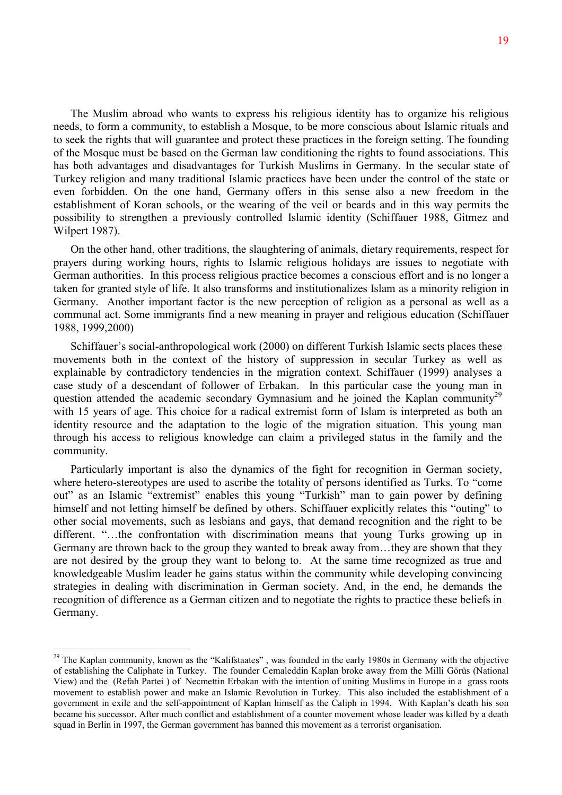The Muslim abroad who wants to express his religious identity has to organize his religious needs, to form a community, to establish a Mosque, to be more conscious about Islamic rituals and to seek the rights that will guarantee and protect these practices in the foreign setting. The founding of the Mosque must be based on the German law conditioning the rights to found associations. This has both advantages and disadvantages for Turkish Muslims in Germany. In the secular state of Turkey religion and many traditional Islamic practices have been under the control of the state or even forbidden. On the one hand, Germany offers in this sense also a new freedom in the establishment of Koran schools, or the wearing of the veil or beards and in this way permits the possibility to strengthen a previously controlled Islamic identity (Schiffauer 1988, Gitmez and Wilpert 1987).

On the other hand, other traditions, the slaughtering of animals, dietary requirements, respect for prayers during working hours, rights to Islamic religious holidays are issues to negotiate with German authorities. In this process religious practice becomes a conscious effort and is no longer a taken for granted style of life. It also transforms and institutionalizes Islam as a minority religion in Germany. Another important factor is the new perception of religion as a personal as well as a communal act. Some immigrants find a new meaning in prayer and religious education (Schiffauer 1988, 1999,2000)

Schiffauer's social-anthropological work (2000) on different Turkish Islamic sects places these movements both in the context of the history of suppression in secular Turkey as well as explainable by contradictory tendencies in the migration context. Schiffauer (1999) analyses a case study of a descendant of follower of Erbakan. In this particular case the young man in question attended the academic secondary Gymnasium and he joined the Kaplan community<sup>29</sup> with 15 years of age. This choice for a radical extremist form of Islam is interpreted as both an identity resource and the adaptation to the logic of the migration situation. This young man through his access to religious knowledge can claim a privileged status in the family and the community.

Particularly important is also the dynamics of the fight for recognition in German society, where hetero-stereotypes are used to ascribe the totality of persons identified as Turks. To "come out" as an Islamic "extremist" enables this young "Turkish" man to gain power by defining himself and not letting himself be defined by others. Schiffauer explicitly relates this "outing" to other social movements, such as lesbians and gays, that demand recognition and the right to be different. "…the confrontation with discrimination means that young Turks growing up in Germany are thrown back to the group they wanted to break away from…they are shown that they are not desired by the group they want to belong to. At the same time recognized as true and knowledgeable Muslim leader he gains status within the community while developing convincing strategies in dealing with discrimination in German society. And, in the end, he demands the recognition of difference as a German citizen and to negotiate the rights to practice these beliefs in Germany.

<sup>&</sup>lt;sup>29</sup> The Kaplan community, known as the "Kalifstaates", was founded in the early 1980s in Germany with the objective of establishing the Caliphate in Turkey. The founder Cemaleddin Kaplan broke away from the Milli Görüs (National View) and the (Refah Partei ) of Necmettin Erbakan with the intention of uniting Muslims in Europe in a grass roots movement to establish power and make an Islamic Revolution in Turkey. This also included the establishment of a government in exile and the self-appointment of Kaplan himself as the Caliph in 1994. With Kaplan's death his son became his successor. After much conflict and establishment of a counter movement whose leader was killed by a death squad in Berlin in 1997, the German government has banned this movement as a terrorist organisation.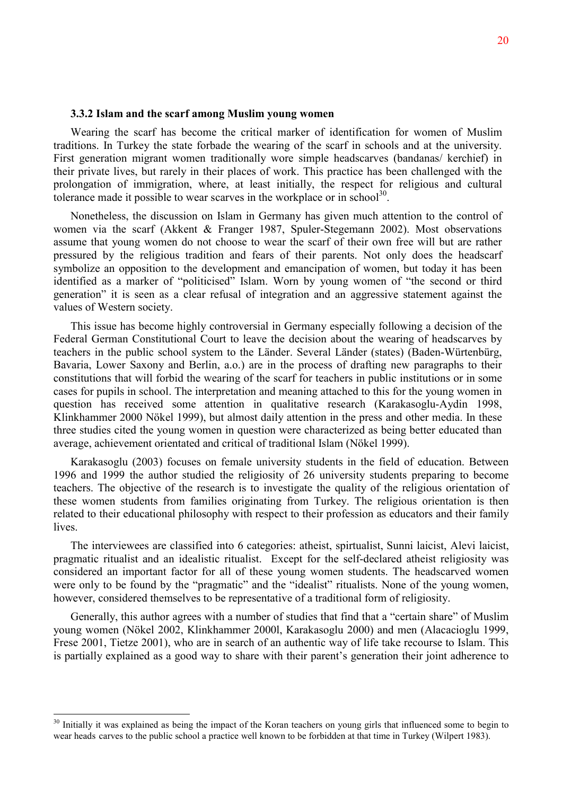#### **3.3.2 Islam and the scarf among Muslim young women**

Wearing the scarf has become the critical marker of identification for women of Muslim traditions. In Turkey the state forbade the wearing of the scarf in schools and at the university. First generation migrant women traditionally wore simple headscarves (bandanas/ kerchief) in their private lives, but rarely in their places of work. This practice has been challenged with the prolongation of immigration, where, at least initially, the respect for religious and cultural tolerance made it possible to wear scarves in the workplace or in school<sup>30</sup>.

Nonetheless, the discussion on Islam in Germany has given much attention to the control of women via the scarf (Akkent & Franger 1987, Spuler-Stegemann 2002). Most observations assume that young women do not choose to wear the scarf of their own free will but are rather pressured by the religious tradition and fears of their parents. Not only does the headscarf symbolize an opposition to the development and emancipation of women, but today it has been identified as a marker of "politicised" Islam. Worn by young women of "the second or third generation" it is seen as a clear refusal of integration and an aggressive statement against the values of Western society.

This issue has become highly controversial in Germany especially following a decision of the Federal German Constitutional Court to leave the decision about the wearing of headscarves by teachers in the public school system to the Länder. Several Länder (states) (Baden-Würtenbürg, Bavaria, Lower Saxony and Berlin, a.o.) are in the process of drafting new paragraphs to their constitutions that will forbid the wearing of the scarf for teachers in public institutions or in some cases for pupils in school. The interpretation and meaning attached to this for the young women in question has received some attention in qualitative research (Karakasoglu-Aydin 1998, Klinkhammer 2000 Nökel 1999), but almost daily attention in the press and other media. In these three studies cited the young women in question were characterized as being better educated than average, achievement orientated and critical of traditional Islam (Nökel 1999).

Karakasoglu (2003) focuses on female university students in the field of education. Between 1996 and 1999 the author studied the religiosity of 26 university students preparing to become teachers. The objective of the research is to investigate the quality of the religious orientation of these women students from families originating from Turkey. The religious orientation is then related to their educational philosophy with respect to their profession as educators and their family lives.

The interviewees are classified into 6 categories: atheist, spirtualist, Sunni laicist, Alevi laicist, pragmatic ritualist and an idealistic ritualist. Except for the self-declared atheist religiosity was considered an important factor for all of these young women students. The headscarved women were only to be found by the "pragmatic" and the "idealist" ritualists. None of the young women, however, considered themselves to be representative of a traditional form of religiosity.

Generally, this author agrees with a number of studies that find that a "certain share" of Muslim young women (Nökel 2002, Klinkhammer 2000l, Karakasoglu 2000) and men (Alacacioglu 1999, Frese 2001, Tietze 2001), who are in search of an authentic way of life take recourse to Islam. This is partially explained as a good way to share with their parent's generation their joint adherence to

<sup>&</sup>lt;sup>30</sup> Initially it was explained as being the impact of the Koran teachers on young girls that influenced some to begin to wear heads carves to the public school a practice well known to be forbidden at that time in Turkey (Wilpert 1983).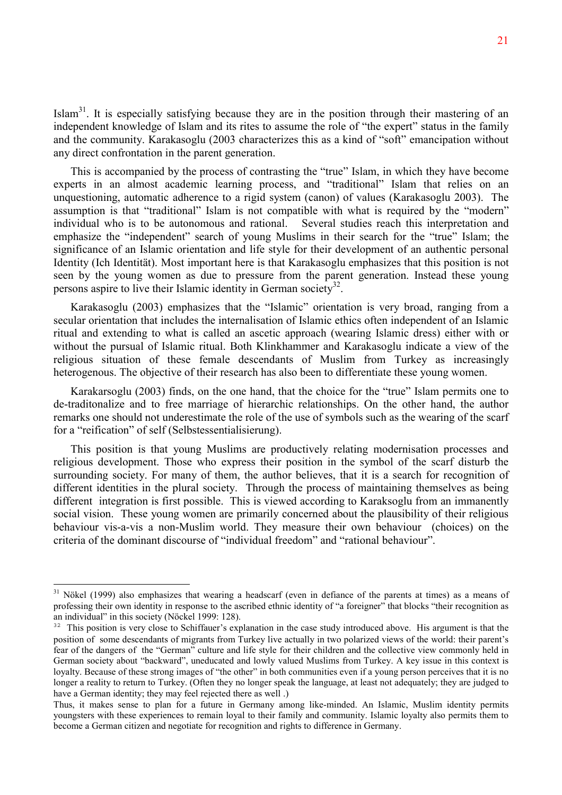Islam<sup>31</sup>. It is especially satisfying because they are in the position through their mastering of an independent knowledge of Islam and its rites to assume the role of "the expert" status in the family and the community. Karakasoglu (2003 characterizes this as a kind of "soft" emancipation without any direct confrontation in the parent generation.

This is accompanied by the process of contrasting the "true" Islam, in which they have become experts in an almost academic learning process, and "traditional" Islam that relies on an unquestioning, automatic adherence to a rigid system (canon) of values (Karakasoglu 2003). The assumption is that "traditional" Islam is not compatible with what is required by the "modern" individual who is to be autonomous and rational. Several studies reach this interpretation and emphasize the "independent" search of young Muslims in their search for the "true" Islam; the significance of an Islamic orientation and life style for their development of an authentic personal Identity (Ich Identität). Most important here is that Karakasoglu emphasizes that this position is not seen by the young women as due to pressure from the parent generation. Instead these young persons aspire to live their Islamic identity in German society<sup>32</sup>.

Karakasoglu (2003) emphasizes that the "Islamic" orientation is very broad, ranging from a secular orientation that includes the internalisation of Islamic ethics often independent of an Islamic ritual and extending to what is called an ascetic approach (wearing Islamic dress) either with or without the pursual of Islamic ritual. Both Klinkhammer and Karakasoglu indicate a view of the religious situation of these female descendants of Muslim from Turkey as increasingly heterogenous. The objective of their research has also been to differentiate these young women.

Karakarsoglu (2003) finds, on the one hand, that the choice for the "true" Islam permits one to de-traditonalize and to free marriage of hierarchic relationships. On the other hand, the author remarks one should not underestimate the role of the use of symbols such as the wearing of the scarf for a "reification" of self (Selbstessentialisierung).

This position is that young Muslims are productively relating modernisation processes and religious development. Those who express their position in the symbol of the scarf disturb the surrounding society. For many of them, the author believes, that it is a search for recognition of different identities in the plural society. Through the process of maintaining themselves as being different integration is first possible. This is viewed according to Karaksoglu from an immanently social vision. These young women are primarily concerned about the plausibility of their religious behaviour vis-a-vis a non-Muslim world. They measure their own behaviour (choices) on the criteria of the dominant discourse of "individual freedom" and "rational behaviour".

 $31$  Nökel (1999) also emphasizes that wearing a headscarf (even in defiance of the parents at times) as a means of professing their own identity in response to the ascribed ethnic identity of "a foreigner" that blocks "their recognition as an individual" in this society (Nöckel 1999: 128).

<sup>&</sup>lt;sup>32</sup> This position is very close to Schiffauer's explanation in the case study introduced above. His argument is that the position of some descendants of migrants from Turkey live actually in two polarized views of the world: their parent's fear of the dangers of the "German" culture and life style for their children and the collective view commonly held in German society about "backward", uneducated and lowly valued Muslims from Turkey. A key issue in this context is loyalty. Because of these strong images of "the other" in both communities even if a young person perceives that it is no longer a reality to return to Turkey. (Often they no longer speak the language, at least not adequately; they are judged to have a German identity; they may feel rejected there as well .)

Thus, it makes sense to plan for a future in Germany among like-minded. An Islamic, Muslim identity permits youngsters with these experiences to remain loyal to their family and community. Islamic loyalty also permits them to become a German citizen and negotiate for recognition and rights to difference in Germany.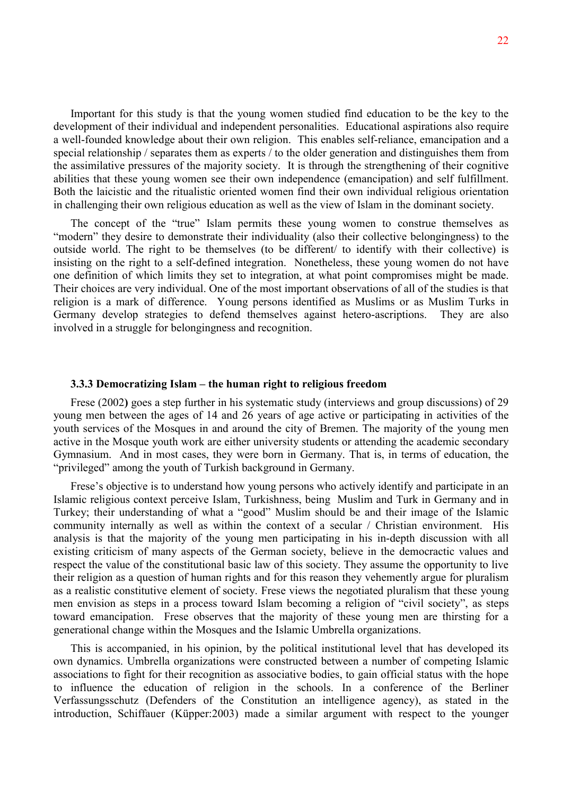Important for this study is that the young women studied find education to be the key to the development of their individual and independent personalities. Educational aspirations also require a well-founded knowledge about their own religion. This enables self-reliance, emancipation and a special relationship / separates them as experts / to the older generation and distinguishes them from the assimilative pressures of the majority society. It is through the strengthening of their cognitive abilities that these young women see their own independence (emancipation) and self fulfillment. Both the laicistic and the ritualistic oriented women find their own individual religious orientation in challenging their own religious education as well as the view of Islam in the dominant society.

The concept of the "true" Islam permits these young women to construe themselves as "modern" they desire to demonstrate their individuality (also their collective belongingness) to the outside world. The right to be themselves (to be different/ to identify with their collective) is insisting on the right to a self-defined integration. Nonetheless, these young women do not have one definition of which limits they set to integration, at what point compromises might be made. Their choices are very individual. One of the most important observations of all of the studies is that religion is a mark of difference. Young persons identified as Muslims or as Muslim Turks in Germany develop strategies to defend themselves against hetero-ascriptions. They are also involved in a struggle for belongingness and recognition.

#### **3.3.3 Democratizing Islam – the human right to religious freedom**

Frese (2002**)** goes a step further in his systematic study (interviews and group discussions) of 29 young men between the ages of 14 and 26 years of age active or participating in activities of the youth services of the Mosques in and around the city of Bremen. The majority of the young men active in the Mosque youth work are either university students or attending the academic secondary Gymnasium. And in most cases, they were born in Germany. That is, in terms of education, the "privileged" among the youth of Turkish background in Germany.

Frese's objective is to understand how young persons who actively identify and participate in an Islamic religious context perceive Islam, Turkishness, being Muslim and Turk in Germany and in Turkey; their understanding of what a "good" Muslim should be and their image of the Islamic community internally as well as within the context of a secular / Christian environment. His analysis is that the majority of the young men participating in his in-depth discussion with all existing criticism of many aspects of the German society, believe in the democractic values and respect the value of the constitutional basic law of this society. They assume the opportunity to live their religion as a question of human rights and for this reason they vehemently argue for pluralism as a realistic constitutive element of society. Frese views the negotiated pluralism that these young men envision as steps in a process toward Islam becoming a religion of "civil society", as steps toward emancipation. Frese observes that the majority of these young men are thirsting for a generational change within the Mosques and the Islamic Umbrella organizations.

This is accompanied, in his opinion, by the political institutional level that has developed its own dynamics. Umbrella organizations were constructed between a number of competing Islamic associations to fight for their recognition as associative bodies, to gain official status with the hope to influence the education of religion in the schools. In a conference of the Berliner Verfassungsschutz (Defenders of the Constitution an intelligence agency), as stated in the introduction, Schiffauer (Küpper:2003) made a similar argument with respect to the younger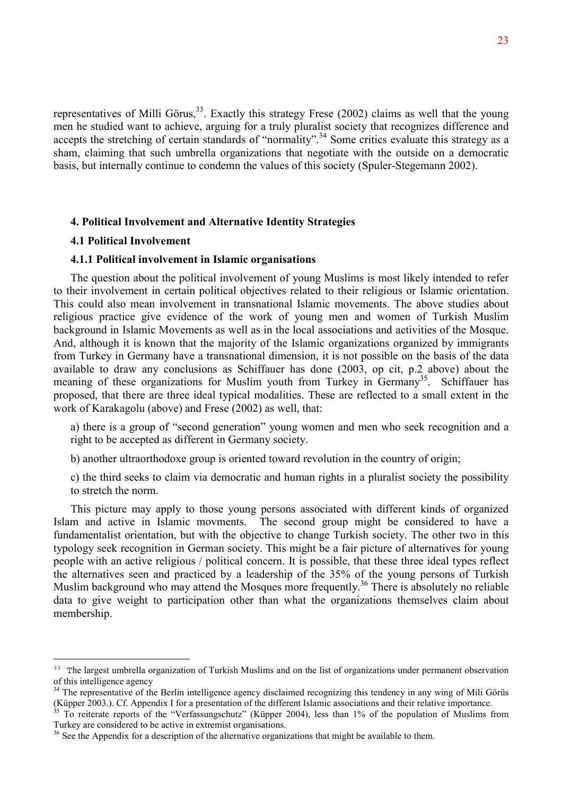representatives of Milli Görus,<sup>33</sup>. Exactly this strategy Frese (2002) claims as well that the young men he studied want to achieve, arguing for a truly pluralist society that recognizes difference and accepts the stretching of certain standards of "normality".<sup>34</sup> Some critics evaluate this strategy as a sham, claiming that such umbrella organizations that negotiate with the outside on a democratic basis, but internally continue to condemn the values of this society (Spuler-Stegemann 2002).

## **4. Political Involvement and Alternative Identity Strategies**

#### **4.1 Political Involvement**

 $\overline{a}$ 

## **4.1.1 Political involvement in Islamic organisations**

The question about the political involvement of young Muslims is most likely intended to refer to their involvement in certain political objectives related to their religious or Islamic orientation. This could also mean involvement in transnational Islamic movements. The above studies about religious practice give evidence of the work of young men and women of Turkish Muslim background in Islamic Movements as well as in the local associations and activities of the Mosque. And, although it is known that the majority of the Islamic organizations organized by immigrants from Turkey in Germany have a transnational dimension, it is not possible on the basis of the data available to draw any conclusions as Schiffauer has done (2003, op cit, p.2 above) about the meaning of these organizations for Muslim youth from Turkey in Germany<sup>35</sup>. Schiffauer has proposed, that there are three ideal typical modalities. These are reflected to a small extent in the work of Karakagolu (above) and Frese (2002) as well, that:

a) there is a group of "second generation" young women and men who seek recognition and a right to be accepted as different in Germany society.

b) another ultraorthodoxe group is oriented toward revolution in the country of origin;

c) the third seeks to claim via democratic and human rights in a pluralist society the possibility to stretch the norm.

This picture may apply to those young persons associated with different kinds of organized Islam and active in Islamic movments. The second group might be considered to have a fundamentalist orientation, but with the objective to change Turkish society. The other two in this typology seek recognition in German society. This might be a fair picture of alternatives for young people with an active religious / political concern. It is possible, that these three ideal types reflect the alternatives seen and practiced by a leadership of the 35% of the young persons of Turkish Muslim background who may attend the Mosques more frequently.<sup>36</sup> There is absolutely no reliable data to give weight to participation other than what the organizations themselves claim about membership.

<sup>&</sup>lt;sup>33</sup> The largest umbrella organization of Turkish Muslims and on the list of organizations under permanent observation of this intelligence agency

<sup>&</sup>lt;sup>34</sup> The representative of the Berlin intelligence agency disclaimed recognizing this tendency in any wing of Mili Görüs (Küpper 2003.). Cf. Appendix I for a presentation of the different Islamic associations and their relative importance.

 $35$  To reiterate reports of the "Verfassungschutz" (Küpper 2004), less than 1% of the population of Muslims from Turkey are considered to be active in extremist organisations.

<sup>&</sup>lt;sup>36</sup> See the Appendix for a description of the alternative organizations that might be available to them.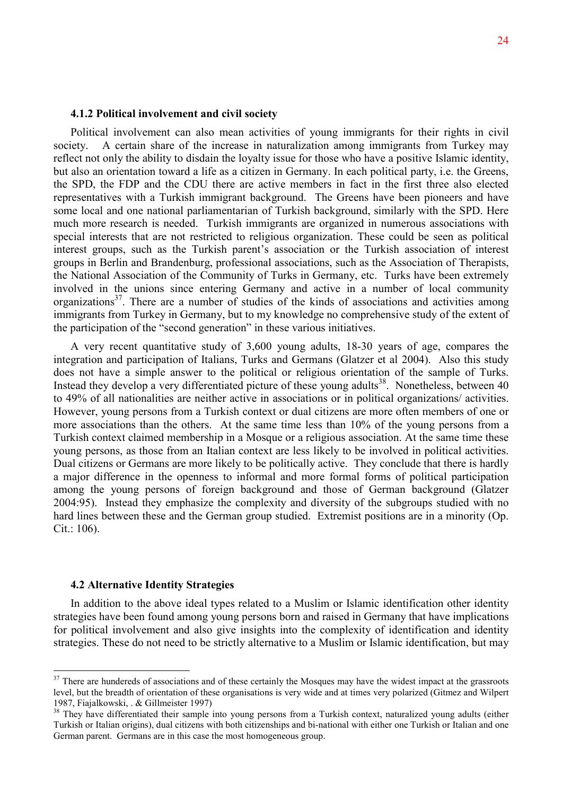## **4.1.2 Political involvement and civil society**

Political involvement can also mean activities of young immigrants for their rights in civil society. A certain share of the increase in naturalization among immigrants from Turkey may reflect not only the ability to disdain the loyalty issue for those who have a positive Islamic identity, but also an orientation toward a life as a citizen in Germany. In each political party, i.e. the Greens, the SPD, the FDP and the CDU there are active members in fact in the first three also elected representatives with a Turkish immigrant background. The Greens have been pioneers and have some local and one national parliamentarian of Turkish background, similarly with the SPD. Here much more research is needed. Turkish immigrants are organized in numerous associations with special interests that are not restricted to religious organization. These could be seen as political interest groups, such as the Turkish parent's association or the Turkish association of interest groups in Berlin and Brandenburg, professional associations, such as the Association of Therapists, the National Association of the Community of Turks in Germany, etc. Turks have been extremely involved in the unions since entering Germany and active in a number of local community organizations<sup>37</sup>. There are a number of studies of the kinds of associations and activities among immigrants from Turkey in Germany, but to my knowledge no comprehensive study of the extent of the participation of the "second generation" in these various initiatives.

A very recent quantitative study of 3,600 young adults, 18-30 years of age, compares the integration and participation of Italians, Turks and Germans (Glatzer et al 2004). Also this study does not have a simple answer to the political or religious orientation of the sample of Turks. Instead they develop a very differentiated picture of these young adults<sup>38</sup>. Nonetheless, between  $40$ to 49% of all nationalities are neither active in associations or in political organizations/ activities. However, young persons from a Turkish context or dual citizens are more often members of one or more associations than the others. At the same time less than 10% of the young persons from a Turkish context claimed membership in a Mosque or a religious association. At the same time these young persons, as those from an Italian context are less likely to be involved in political activities. Dual citizens or Germans are more likely to be politically active. They conclude that there is hardly a major difference in the openness to informal and more formal forms of political participation among the young persons of foreign background and those of German background (Glatzer 2004:95). Instead they emphasize the complexity and diversity of the subgroups studied with no hard lines between these and the German group studied. Extremist positions are in a minority (Op. Cit.: 106).

## **4.2 Alternative Identity Strategies**

 $\overline{a}$ 

In addition to the above ideal types related to a Muslim or Islamic identification other identity strategies have been found among young persons born and raised in Germany that have implications for political involvement and also give insights into the complexity of identification and identity strategies. These do not need to be strictly alternative to a Muslim or Islamic identification, but may

 $37$  There are hundereds of associations and of these certainly the Mosques may have the widest impact at the grassroots level, but the breadth of orientation of these organisations is very wide and at times very polarized (Gitmez and Wilpert 1987, Fiajalkowski, . & Gillmeister 1997)

<sup>&</sup>lt;sup>38</sup> They have differentiated their sample into young persons from a Turkish context, naturalized young adults (either Turkish or Italian origins), dual citizens with both citizenships and bi-national with either one Turkish or Italian and one German parent. Germans are in this case the most homogeneous group.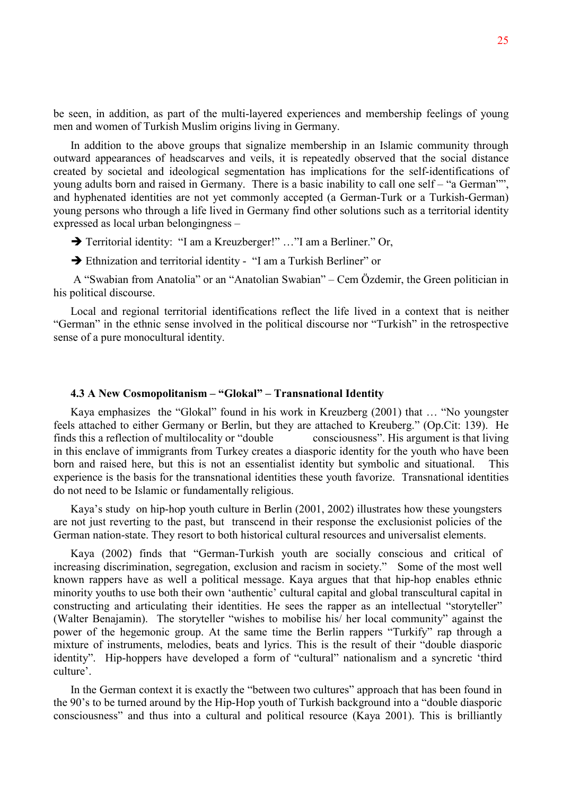be seen, in addition, as part of the multi-layered experiences and membership feelings of young men and women of Turkish Muslim origins living in Germany.

In addition to the above groups that signalize membership in an Islamic community through outward appearances of headscarves and veils, it is repeatedly observed that the social distance created by societal and ideological segmentation has implications for the self-identifications of young adults born and raised in Germany. There is a basic inability to call one self – "a German"", and hyphenated identities are not yet commonly accepted (a German-Turk or a Turkish-German) young persons who through a life lived in Germany find other solutions such as a territorial identity expressed as local urban belongingness –

→ Territorial identity: "I am a Kreuzberger!" ..."I am a Berliner." Or,

Ethnization and territorial identity - "I am a Turkish Berliner" or

 A "Swabian from Anatolia" or an "Anatolian Swabian" – Cem Özdemir, the Green politician in his political discourse.

Local and regional territorial identifications reflect the life lived in a context that is neither "German" in the ethnic sense involved in the political discourse nor "Turkish" in the retrospective sense of a pure monocultural identity.

## **4.3 A New Cosmopolitanism – "Glokal" – Transnational Identity**

Kaya emphasizes the "Glokal" found in his work in Kreuzberg (2001) that … "No youngster feels attached to either Germany or Berlin, but they are attached to Kreuberg." (Op.Cit: 139). He finds this a reflection of multilocality or "double consciousness". His argument is that living in this enclave of immigrants from Turkey creates a diasporic identity for the youth who have been born and raised here, but this is not an essentialist identity but symbolic and situational. This experience is the basis for the transnational identities these youth favorize. Transnational identities do not need to be Islamic or fundamentally religious.

Kaya's study on hip-hop youth culture in Berlin (2001, 2002) illustrates how these youngsters are not just reverting to the past, but transcend in their response the exclusionist policies of the German nation-state. They resort to both historical cultural resources and universalist elements.

Kaya (2002) finds that "German-Turkish youth are socially conscious and critical of increasing discrimination, segregation, exclusion and racism in society." Some of the most well known rappers have as well a political message. Kaya argues that that hip-hop enables ethnic minority youths to use both their own 'authentic' cultural capital and global transcultural capital in constructing and articulating their identities. He sees the rapper as an intellectual "storyteller" (Walter Benajamin). The storyteller "wishes to mobilise his/ her local community" against the power of the hegemonic group. At the same time the Berlin rappers "Turkify" rap through a mixture of instruments, melodies, beats and lyrics. This is the result of their "double diasporic identity". Hip-hoppers have developed a form of "cultural" nationalism and a syncretic 'third culture'.

In the German context it is exactly the "between two cultures" approach that has been found in the 90's to be turned around by the Hip-Hop youth of Turkish background into a "double diasporic consciousness" and thus into a cultural and political resource (Kaya 2001). This is brilliantly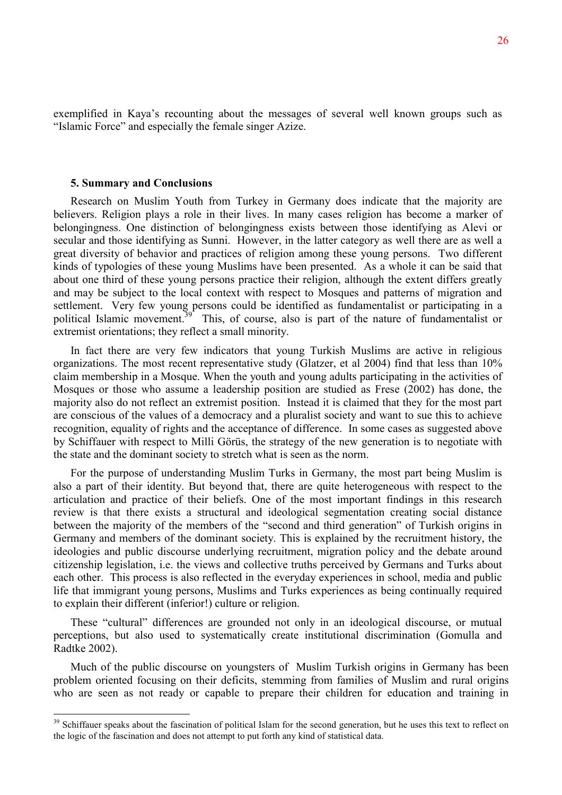exemplified in Kaya's recounting about the messages of several well known groups such as "Islamic Force" and especially the female singer Azize.

#### **5. Summary and Conclusions**

 $\overline{a}$ 

Research on Muslim Youth from Turkey in Germany does indicate that the majority are believers. Religion plays a role in their lives. In many cases religion has become a marker of belongingness. One distinction of belongingness exists between those identifying as Alevi or secular and those identifying as Sunni. However, in the latter category as well there are as well a great diversity of behavior and practices of religion among these young persons. Two different kinds of typologies of these young Muslims have been presented. As a whole it can be said that about one third of these young persons practice their religion, although the extent differs greatly and may be subject to the local context with respect to Mosques and patterns of migration and settlement. Very few young persons could be identified as fundamentalist or participating in a political Islamic movement.<sup>39</sup> This, of course, also is part of the nature of fundamentalist or extremist orientations; they reflect a small minority.

In fact there are very few indicators that young Turkish Muslims are active in religious organizations. The most recent representative study (Glatzer, et al 2004) find that less than 10% claim membership in a Mosque. When the youth and young adults participating in the activities of Mosques or those who assume a leadership position are studied as Frese (2002) has done, the majority also do not reflect an extremist position. Instead it is claimed that they for the most part are conscious of the values of a democracy and a pluralist society and want to sue this to achieve recognition, equality of rights and the acceptance of difference. In some cases as suggested above by Schiffauer with respect to Milli Görüs, the strategy of the new generation is to negotiate with the state and the dominant society to stretch what is seen as the norm.

For the purpose of understanding Muslim Turks in Germany, the most part being Muslim is also a part of their identity. But beyond that, there are quite heterogeneous with respect to the articulation and practice of their beliefs. One of the most important findings in this research review is that there exists a structural and ideological segmentation creating social distance between the majority of the members of the "second and third generation" of Turkish origins in Germany and members of the dominant society. This is explained by the recruitment history, the ideologies and public discourse underlying recruitment, migration policy and the debate around citizenship legislation, i.e. the views and collective truths perceived by Germans and Turks about each other. This process is also reflected in the everyday experiences in school, media and public life that immigrant young persons, Muslims and Turks experiences as being continually required to explain their different (inferior!) culture or religion.

These "cultural" differences are grounded not only in an ideological discourse, or mutual perceptions, but also used to systematically create institutional discrimination (Gomulla and Radtke 2002).

Much of the public discourse on youngsters of Muslim Turkish origins in Germany has been problem oriented focusing on their deficits, stemming from families of Muslim and rural origins who are seen as not ready or capable to prepare their children for education and training in

<sup>&</sup>lt;sup>39</sup> Schiffauer speaks about the fascination of political Islam for the second generation, but he uses this text to reflect on the logic of the fascination and does not attempt to put forth any kind of statistical data.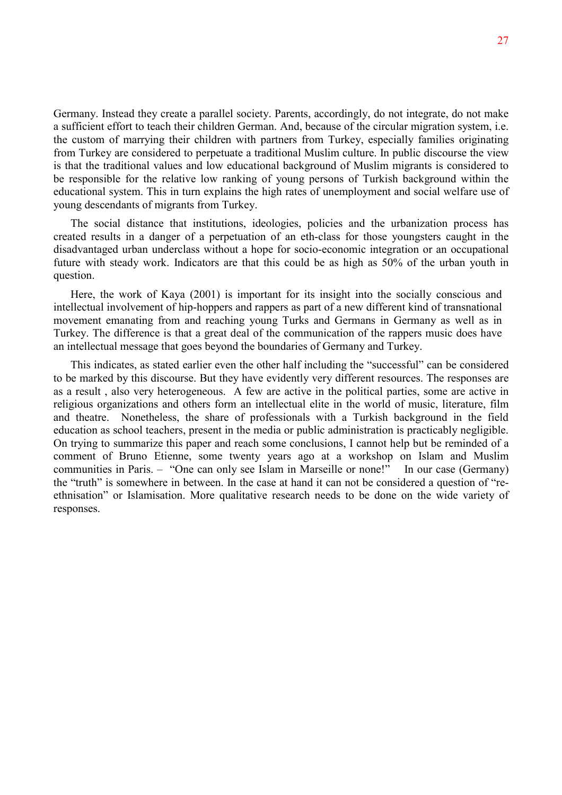Germany. Instead they create a parallel society. Parents, accordingly, do not integrate, do not make a sufficient effort to teach their children German. And, because of the circular migration system, i.e. the custom of marrying their children with partners from Turkey, especially families originating from Turkey are considered to perpetuate a traditional Muslim culture. In public discourse the view is that the traditional values and low educational background of Muslim migrants is considered to be responsible for the relative low ranking of young persons of Turkish background within the educational system. This in turn explains the high rates of unemployment and social welfare use of young descendants of migrants from Turkey.

The social distance that institutions, ideologies, policies and the urbanization process has created results in a danger of a perpetuation of an eth-class for those youngsters caught in the disadvantaged urban underclass without a hope for socio-economic integration or an occupational future with steady work. Indicators are that this could be as high as 50% of the urban youth in question.

Here, the work of Kaya (2001) is important for its insight into the socially conscious and intellectual involvement of hip-hoppers and rappers as part of a new different kind of transnational movement emanating from and reaching young Turks and Germans in Germany as well as in Turkey. The difference is that a great deal of the communication of the rappers music does have an intellectual message that goes beyond the boundaries of Germany and Turkey.

This indicates, as stated earlier even the other half including the "successful" can be considered to be marked by this discourse. But they have evidently very different resources. The responses are as a result , also very heterogeneous. A few are active in the political parties, some are active in religious organizations and others form an intellectual elite in the world of music, literature, film and theatre. Nonetheless, the share of professionals with a Turkish background in the field education as school teachers, present in the media or public administration is practicably negligible. On trying to summarize this paper and reach some conclusions, I cannot help but be reminded of a comment of Bruno Etienne, some twenty years ago at a workshop on Islam and Muslim communities in Paris. – "One can only see Islam in Marseille or none!" In our case (Germany) the "truth" is somewhere in between. In the case at hand it can not be considered a question of "reethnisation" or Islamisation. More qualitative research needs to be done on the wide variety of responses.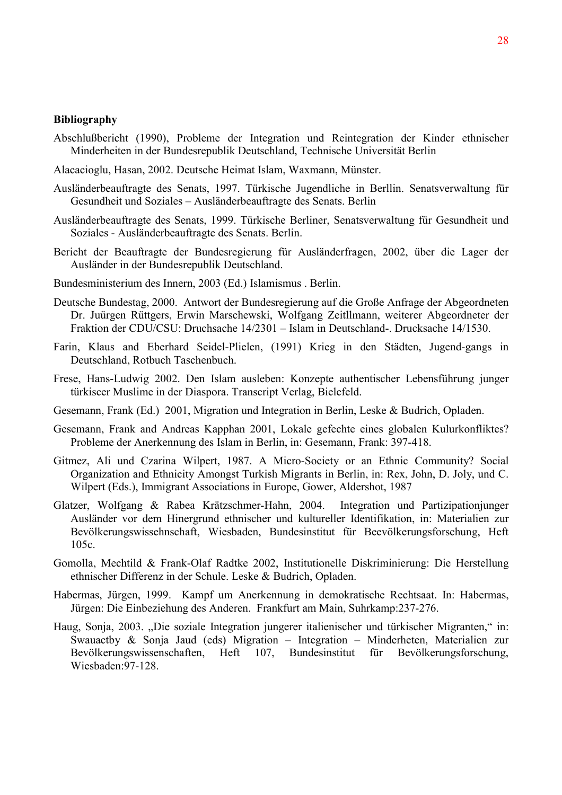## **Bibliography**

- Abschlußbericht (1990), Probleme der Integration und Reintegration der Kinder ethnischer Minderheiten in der Bundesrepublik Deutschland, Technische Universität Berlin
- Alacacioglu, Hasan, 2002. Deutsche Heimat Islam, Waxmann, Münster.
- Ausländerbeauftragte des Senats, 1997. Türkische Jugendliche in Berllin. Senatsverwaltung für Gesundheit und Soziales – Ausländerbeauftragte des Senats. Berlin
- Ausländerbeauftragte des Senats, 1999. Türkische Berliner, Senatsverwaltung für Gesundheit und Soziales - Ausländerbeauftragte des Senats. Berlin.
- Bericht der Beauftragte der Bundesregierung für Ausländerfragen, 2002, über die Lager der Ausländer in der Bundesrepublik Deutschland.
- Bundesministerium des Innern, 2003 (Ed.) Islamismus . Berlin.
- Deutsche Bundestag, 2000. Antwort der Bundesregierung auf die Große Anfrage der Abgeordneten Dr. Juürgen Rüttgers, Erwin Marschewski, Wolfgang Zeitllmann, weiterer Abgeordneter der Fraktion der CDU/CSU: Druchsache 14/2301 – Islam in Deutschland-. Drucksache 14/1530.
- Farin, Klaus and Eberhard Seidel-Plielen, (1991) Krieg in den Städten, Jugend-gangs in Deutschland, Rotbuch Taschenbuch.
- Frese, Hans-Ludwig 2002. Den Islam ausleben: Konzepte authentischer Lebensführung junger türkiscer Muslime in der Diaspora. Transcript Verlag, Bielefeld.
- Gesemann, Frank (Ed.) 2001, Migration und Integration in Berlin, Leske & Budrich, Opladen.
- Gesemann, Frank and Andreas Kapphan 2001, Lokale gefechte eines globalen Kulurkonfliktes? Probleme der Anerkennung des Islam in Berlin, in: Gesemann, Frank: 397-418.
- Gitmez, Ali und Czarina Wilpert, 1987. A Micro-Society or an Ethnic Community? Social Organization and Ethnicity Amongst Turkish Migrants in Berlin, in: Rex, John, D. Joly, und C. Wilpert (Eds.), Immigrant Associations in Europe, Gower, Aldershot, 1987
- Glatzer, Wolfgang & Rabea Krätzschmer-Hahn, 2004. Integration und Partizipationjunger Ausländer vor dem Hinergrund ethnischer und kultureller Identifikation, in: Materialien zur Bevölkerungswissehnschaft, Wiesbaden, Bundesinstitut für Beevölkerungsforschung, Heft 105c.
- Gomolla, Mechtild & Frank-Olaf Radtke 2002, Institutionelle Diskriminierung: Die Herstellung ethnischer Differenz in der Schule. Leske & Budrich, Opladen.
- Habermas, Jürgen, 1999. Kampf um Anerkennung in demokratische Rechtsaat. In: Habermas, Jürgen: Die Einbeziehung des Anderen. Frankfurt am Main, Suhrkamp:237-276.
- Haug, Sonja, 2003. "Die soziale Integration jungerer italienischer und türkischer Migranten," in: Swauactby & Sonja Jaud (eds) Migration – Integration – Minderheten, Materialien zur Bevölkerungswissenschaften, Heft 107, Bundesinstitut für Bevölkerungsforschung, Wiesbaden:97-128.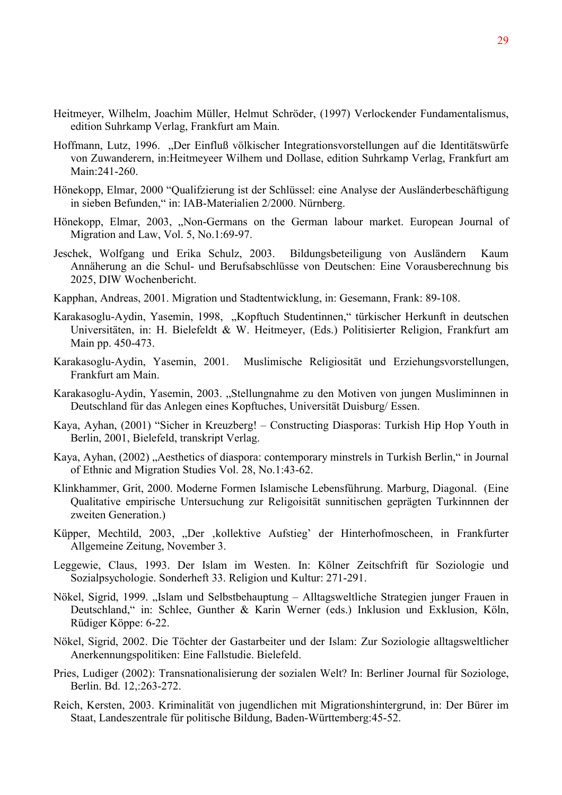- Heitmeyer, Wilhelm, Joachim Müller, Helmut Schröder, (1997) Verlockender Fundamentalismus, edition Suhrkamp Verlag, Frankfurt am Main.
- Hoffmann, Lutz, 1996. "Der Einfluß völkischer Integrationsvorstellungen auf die Identitätswürfe von Zuwanderern, in:Heitmeyeer Wilhem und Dollase, edition Suhrkamp Verlag, Frankfurt am Main:241-260.
- Hönekopp, Elmar, 2000 "Qualifzierung ist der Schlüssel: eine Analyse der Ausländerbeschäftigung in sieben Befunden," in: IAB-Materialien 2/2000. Nürnberg.
- Hönekopp, Elmar, 2003, "Non-Germans on the German labour market. European Journal of Migration and Law, Vol. 5, No.1:69-97.
- Jeschek, Wolfgang und Erika Schulz, 2003. Bildungsbeteiligung von Ausländern Kaum Annäherung an die Schul- und Berufsabschlüsse von Deutschen: Eine Vorausberechnung bis 2025, DIW Wochenbericht.
- Kapphan, Andreas, 2001. Migration und Stadtentwicklung, in: Gesemann, Frank: 89-108.
- Karakasoglu-Aydin, Yasemin, 1998, "Kopftuch Studentinnen," türkischer Herkunft in deutschen Universitäten, in: H. Bielefeldt & W. Heitmeyer, (Eds.) Politisierter Religion, Frankfurt am Main pp. 450-473.
- Karakasoglu-Aydin, Yasemin, 2001. Muslimische Religiosität und Erziehungsvorstellungen, Frankfurt am Main.
- Karakasoglu-Aydin, Yasemin, 2003. "Stellungnahme zu den Motiven von jungen Musliminnen in Deutschland für das Anlegen eines Kopftuches, Universität Duisburg/ Essen.
- Kaya, Ayhan, (2001) "Sicher in Kreuzberg! Constructing Diasporas: Turkish Hip Hop Youth in Berlin, 2001, Bielefeld, transkript Verlag.
- Kaya, Ayhan, (2002), Aesthetics of diaspora: contemporary minstrels in Turkish Berlin, " in Journal of Ethnic and Migration Studies Vol. 28, No.1:43-62.
- Klinkhammer, Grit, 2000. Moderne Formen Islamische Lebensführung. Marburg, Diagonal. (Eine Qualitative empirische Untersuchung zur Religoisität sunnitischen geprägten Turkinnnen der zweiten Generation.)
- Küpper, Mechtild, 2003, "Der ,kollektive Aufstieg' der Hinterhofmoscheen, in Frankfurter Allgemeine Zeitung, November 3.
- Leggewie, Claus, 1993. Der Islam im Westen. In: Kölner Zeitschfrift für Soziologie und Sozialpsychologie. Sonderheft 33. Religion und Kultur: 271-291.
- Nökel, Sigrid, 1999. "Islam und Selbstbehauptung Alltagsweltliche Strategien junger Frauen in Deutschland," in: Schlee, Gunther & Karin Werner (eds.) Inklusion und Exklusion, Köln, Rüdiger Köppe: 6-22.
- Nökel, Sigrid, 2002. Die Töchter der Gastarbeiter und der Islam: Zur Soziologie alltagsweltlicher Anerkennungspolitiken: Eine Fallstudie. Bielefeld.
- Pries, Ludiger (2002): Transnationalisierung der sozialen Welt? In: Berliner Journal für Soziologe, Berlin. Bd. 12,:263-272.
- Reich, Kersten, 2003. Kriminalität von jugendlichen mit Migrationshintergrund, in: Der Bürer im Staat, Landeszentrale für politische Bildung, Baden-Württemberg:45-52.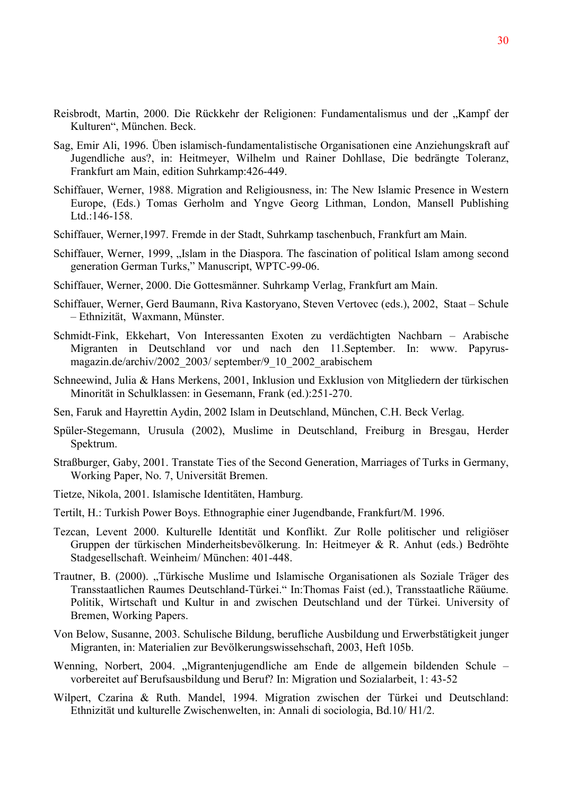- Reisbrodt, Martin, 2000. Die Rückkehr der Religionen: Fundamentalismus und der "Kampf der Kulturen", München. Beck.
- Sag, Emir Ali, 1996. Üben islamisch-fundamentalistische Organisationen eine Anziehungskraft auf Jugendliche aus?, in: Heitmeyer, Wilhelm und Rainer Dohllase, Die bedrängte Toleranz, Frankfurt am Main, edition Suhrkamp:426-449.
- Schiffauer, Werner, 1988. Migration and Religiousness, in: The New Islamic Presence in Western Europe, (Eds.) Tomas Gerholm and Yngve Georg Lithman, London, Mansell Publishing Ltd.:146-158.
- Schiffauer, Werner,1997. Fremde in der Stadt, Suhrkamp taschenbuch, Frankfurt am Main.
- Schiffauer, Werner, 1999, ...Islam in the Diaspora. The fascination of political Islam among second generation German Turks," Manuscript, WPTC-99-06.
- Schiffauer, Werner, 2000. Die Gottesmänner. Suhrkamp Verlag, Frankfurt am Main.
- Schiffauer, Werner, Gerd Baumann, Riva Kastoryano, Steven Vertovec (eds.), 2002, Staat Schule – Ethnizität, Waxmann, Münster.
- Schmidt-Fink, Ekkehart, Von Interessanten Exoten zu verdächtigten Nachbarn Arabische Migranten in Deutschland vor und nach den 11.September. In: www. Papyrusmagazin.de/archiv/2002\_2003/ september/9\_10\_2002\_arabischem
- Schneewind, Julia & Hans Merkens, 2001, Inklusion und Exklusion von Mitgliedern der türkischen Minorität in Schulklassen: in Gesemann, Frank (ed.):251-270.
- Sen, Faruk and Hayrettin Aydin, 2002 Islam in Deutschland, München, C.H. Beck Verlag.
- Spüler-Stegemann, Urusula (2002), Muslime in Deutschland, Freiburg in Bresgau, Herder Spektrum.
- Straßburger, Gaby, 2001. Transtate Ties of the Second Generation, Marriages of Turks in Germany, Working Paper, No. 7, Universität Bremen.
- Tietze, Nikola, 2001. Islamische Identitäten, Hamburg.
- Tertilt, H.: Turkish Power Boys. Ethnographie einer Jugendbande, Frankfurt/M. 1996.
- Tezcan, Levent 2000. Kulturelle Identität und Konflikt. Zur Rolle politischer und religiöser Gruppen der türkischen Minderheitsbevölkerung. In: Heitmeyer & R. Anhut (eds.) Bedröhte Stadgesellschaft. Weinheim/ München: 401-448.
- Trautner, B. (2000). "Türkische Muslime und Islamische Organisationen als Soziale Träger des Transstaatlichen Raumes Deutschland-Türkei." In:Thomas Faist (ed.), Transstaatliche Räüume. Politik, Wirtschaft und Kultur in and zwischen Deutschland und der Türkei. University of Bremen, Working Papers.
- Von Below, Susanne, 2003. Schulische Bildung, berufliche Ausbildung und Erwerbstätigkeit junger Migranten, in: Materialien zur Bevölkerungswissehschaft, 2003, Heft 105b.
- Wenning, Norbert, 2004. "Migrantenjugendliche am Ende de allgemein bildenden Schule vorbereitet auf Berufsausbildung und Beruf? In: Migration und Sozialarbeit, 1: 43-52
- Wilpert, Czarina & Ruth. Mandel, 1994. Migration zwischen der Türkei und Deutschland: Ethnizität und kulturelle Zwischenwelten, in: Annali di sociologia, Bd.10/ H1/2.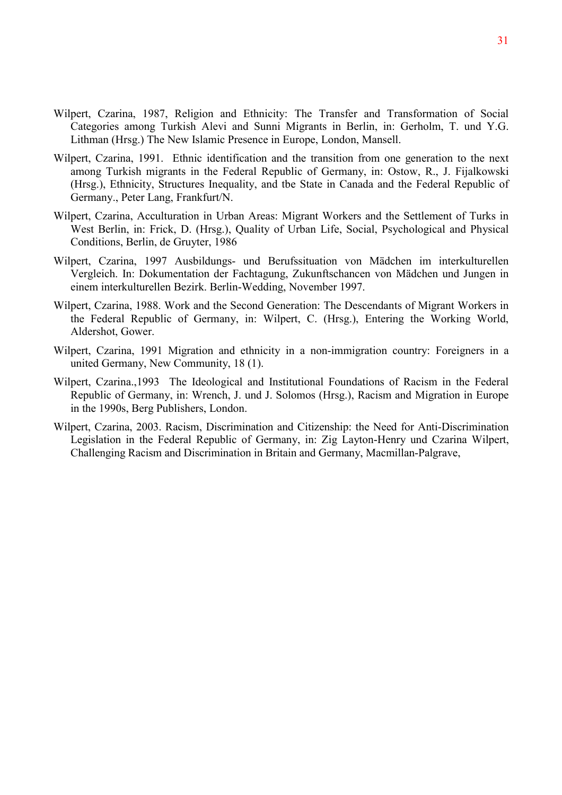- Wilpert, Czarina, 1987, Religion and Ethnicity: The Transfer and Transformation of Social Categories among Turkish Alevi and Sunni Migrants in Berlin, in: Gerholm, T. und Y.G. Lithman (Hrsg.) The New Islamic Presence in Europe, London, Mansell.
- Wilpert, Czarina, 1991. Ethnic identification and the transition from one generation to the next among Turkish migrants in the Federal Republic of Germany, in: Ostow, R., J. Fijalkowski (Hrsg.), Ethnicity, Structures Inequality, and tbe State in Canada and the Federal Republic of Germany., Peter Lang, Frankfurt/N.
- Wilpert, Czarina, Acculturation in Urban Areas: Migrant Workers and the Settlement of Turks in West Berlin, in: Frick, D. (Hrsg.), Quality of Urban Life, Social, Psychological and Physical Conditions, Berlin, de Gruyter, 1986
- Wilpert, Czarina, 1997 Ausbildungs- und Berufssituation von Mädchen im interkulturellen Vergleich. In: Dokumentation der Fachtagung, Zukunftschancen von Mädchen und Jungen in einem interkulturellen Bezirk. Berlin-Wedding, November 1997.
- Wilpert, Czarina, 1988. Work and the Second Generation: The Descendants of Migrant Workers in the Federal Republic of Germany, in: Wilpert, C. (Hrsg.), Entering the Working World, Aldershot, Gower.
- Wilpert, Czarina, 1991 Migration and ethnicity in a non-immigration country: Foreigners in a united Germany, New Community, 18 (1).
- Wilpert, Czarina.,1993 The Ideological and Institutional Foundations of Racism in the Federal Republic of Germany, in: Wrench, J. und J. Solomos (Hrsg.), Racism and Migration in Europe in the 1990s, Berg Publishers, London.
- Wilpert, Czarina, 2003. Racism, Discrimination and Citizenship: the Need for Anti-Discrimination Legislation in the Federal Republic of Germany, in: Zig Layton-Henry und Czarina Wilpert, Challenging Racism and Discrimination in Britain and Germany, Macmillan-Palgrave,